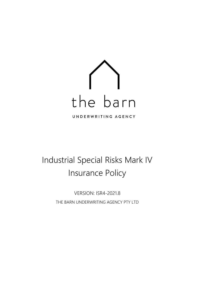

# Industrial Special Risks Mark IV Insurance Policy

VERSION: ISR4-2021.8 THE BARN UNDERWRITING AGENCY PTY LTD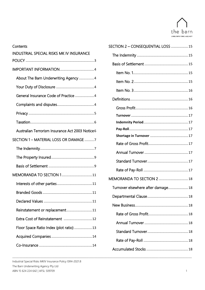

| Contents                                        |
|-------------------------------------------------|
| <b>INDUSTRIAL SPECIAL RISKS MK IV INSURANCE</b> |
|                                                 |
|                                                 |
| About The Barn Underwriting Agency 4            |
|                                                 |
| General Insurance Code of Practice 4            |
|                                                 |
|                                                 |
|                                                 |
| Australian Terrorism Insurance Act 2003 Notice6 |
| SECTION 1 - MATERIAL LOSS OR DAMAGE 7           |
|                                                 |
|                                                 |
|                                                 |
| MEMORANDA TO SECTION 111                        |
|                                                 |
|                                                 |
|                                                 |
| Reinstatement or replacement11                  |
| Extra Cost of Reinstatement  12                 |
| Floor Space Ratio Index (plot ratio) 13         |
|                                                 |
|                                                 |

| SECTION 2 - CONSEQUENTIAL LOSS  15 |  |
|------------------------------------|--|
|                                    |  |
|                                    |  |
|                                    |  |
|                                    |  |
|                                    |  |
|                                    |  |
|                                    |  |
|                                    |  |
|                                    |  |
|                                    |  |
|                                    |  |
|                                    |  |
|                                    |  |
|                                    |  |
|                                    |  |
| MEMORANDA TO SECTION 2  18         |  |
| Turnover elsewhere after damage 18 |  |
|                                    |  |
|                                    |  |
|                                    |  |
|                                    |  |
|                                    |  |
|                                    |  |
|                                    |  |
|                                    |  |

\_\_\_\_\_\_\_\_\_\_\_\_\_\_\_\_\_\_\_\_\_\_\_\_\_\_\_\_\_\_\_\_\_\_\_\_\_\_\_\_\_\_\_\_\_\_\_\_\_\_\_\_\_\_\_\_\_\_\_\_\_\_\_\_\_\_\_\_\_\_\_\_\_\_\_\_\_\_\_\_\_\_\_\_\_\_\_\_\_\_\_\_\_\_\_\_\_\_\_\_\_\_\_\_\_\_\_\_\_\_\_\_\_\_\_\_\_\_\_\_\_\_\_\_\_\_\_\_\_\_\_\_\_\_\_\_\_\_\_\_\_\_\_\_\_\_\_\_\_\_\_\_\_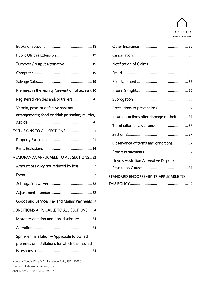

| Turnover / output alternative19                                                                 |                                           |  |
|-------------------------------------------------------------------------------------------------|-------------------------------------------|--|
|                                                                                                 |                                           |  |
|                                                                                                 |                                           |  |
| Premises in the vicinity (prevention of access).20                                              |                                           |  |
|                                                                                                 |                                           |  |
| Vermin, pests or defective sanitary                                                             |                                           |  |
| arrangements; food or drink poisoning; murder,                                                  | Insured's actions after damage or theft37 |  |
|                                                                                                 | Termination of cover under37              |  |
|                                                                                                 |                                           |  |
|                                                                                                 | Observance of terms and conditions37      |  |
|                                                                                                 |                                           |  |
| <b>MEMORANDA APPLICABLE TO ALL SECTIONS32</b>                                                   | Lloyd's Australian Alternative Disputes   |  |
| Amount of Policy not reduced by loss32                                                          |                                           |  |
|                                                                                                 | STANDARD ENDORSEMENTS APPLICABLE TO       |  |
|                                                                                                 |                                           |  |
|                                                                                                 |                                           |  |
| Goods and Services Tax and Claims Payments 33                                                   |                                           |  |
| <b>CONDITIONS APPLICABLE TO ALL SECTIONS 34</b>                                                 |                                           |  |
| Misrepresentation and non-disclosure 34                                                         |                                           |  |
|                                                                                                 |                                           |  |
| Sprinkler installation - Applicable to owned<br>premises or installations for which the insured |                                           |  |

| Insured's actions after damage or theft37 |  |
|-------------------------------------------|--|
|                                           |  |
|                                           |  |
| Observance of terms and conditions 37     |  |
|                                           |  |
| Lloyd's Australian Alternative Disputes   |  |
|                                           |  |
| STANDARD ENDORSEMENTS APPLICABLE TO       |  |
|                                           |  |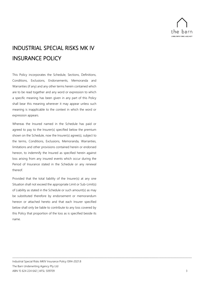

# <span id="page-3-0"></span>INDUSTRIAL SPECIAL RISKS MK IV INSURANCE POLICY

This Policy incorporates the Schedule, Sections, Definitions, Conditions, Exclusions, Endorsements, Memoranda and Warranties (if any) and any other terms herein contained which are to be read together and any word or expression to which a specific meaning has been given in any part of this Policy shall bear this meaning wherever it may appear unless such meaning is inapplicable to the context in which the word or expression appears.

Whereas the Insured named in the Schedule has paid or agreed to pay to the Insurer(s) specified below the premium shown on the Schedule, now the Insurer(s) agree(s), subject to the terms, Conditions, Exclusions, Memoranda, Warranties, limitations and other provisions contained herein or endorsed hereon, to indemnify the Insured as specified herein against loss arising from any insured events which occur during the Period of Insurance stated in the Schedule or any renewal thereof.

Provided that the total liability of the Insurer(s) at any one Situation shall not exceed the appropriate Limit or Sub-Limit(s) of Liability as stated in the Schedule or such amount(s) as may be substituted therefore by endorsement or memorandum hereon or attached hereto and that each Insurer specified below shall only be liable to contribute to any loss covered by this Policy that proportion of the loss as is specified beside its name.

\_\_\_\_\_\_\_\_\_\_\_\_\_\_\_\_\_\_\_\_\_\_\_\_\_\_\_\_\_\_\_\_\_\_\_\_\_\_\_\_\_\_\_\_\_\_\_\_\_\_\_\_\_\_\_\_\_\_\_\_\_\_\_\_\_\_\_\_\_\_\_\_\_\_\_\_\_\_\_\_\_\_\_\_\_\_\_\_\_\_\_\_\_\_\_\_\_\_\_\_\_\_\_\_\_\_\_\_\_\_\_\_\_\_\_\_\_\_\_\_\_\_\_\_\_\_\_\_\_\_\_\_\_\_\_\_\_\_\_\_\_\_\_\_\_\_\_\_\_\_\_\_\_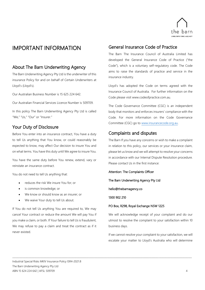

## <span id="page-4-0"></span>IMPORTANT INFORMATION

## <span id="page-4-1"></span>About The Barn Underwriting Agency

The Barn Underwriting Agency Pty Ltd is the underwriter of this insurance Policy for and on behalf of Certain Underwriters at Lloyd's (Lloyd's).

Our Australian Business Number is 15 625 224 642.

Our Australian Financial Services Licence Number is 509709.

In this policy The Barn Underwriting Agency Pty Ltd is called "We," "Us," "Our" or "Insurer."

## <span id="page-4-2"></span>Your Duty of Disclosure

Before You enter into an insurance contract, You have a duty to tell Us anything that You know, or could reasonably be expected to know, may affect Our decision to insure You and on what terms. You have this duty until We agree to insure You.

You have the same duty before You renew, extend, vary or reinstate an insurance contract.

You do not need to tell Us anything that:

- reduces the risk We insure You for; or
- is common knowledge; or
- We know or should know as an insurer; or
- We waive Your duty to tell Us about.

If You do not tell Us anything You are required to, We may cancel Your contract or reduce the amount We will pay You if you make a claim, or both. If Your failure to tell Us is fraudulent, We may refuse to pay a claim and treat the contract as if it never existed.

## <span id="page-4-3"></span>General Insurance Code of Practice

The Barn The Insurance Council of Australia Limited has developed the General Insurance Code of Practice ("the Code"), which is a voluntary self-regulatory code. The Code aims to raise the standards of practice and service in the insurance industry.

Lloyd's has adopted the Code on terms agreed with the Insurance Council of Australia. For further information on the Code please visit www.codeofpractice.com.au.

The Code Governance Committee (CGC) is an independent body that monitors and enforces insurers' compliance with the Code. For more information on the Code Governance Committee (CGC) go to [www.insurancecode.org.au.](http://www.insurancecode.org.au/)

## <span id="page-4-4"></span>Complaints and disputes

The Barn If you have any concerns or wish to make a complaint in relation to this policy, our services or your insurance claim, please let us know and we will attempt to resolve your concerns in accordance with our Internal Dispute Resolution procedure. Please contact Us in the first instance:

Attention: The Complaints Officer

The Barn Underwriting Agency Pty Ltd

hello@thebarnagency.co

1300 902 210

\_\_\_\_\_\_\_\_\_\_\_\_\_\_\_\_\_\_\_\_\_\_\_\_\_\_\_\_\_\_\_\_\_\_\_\_\_\_\_\_\_\_\_\_\_\_\_\_\_\_\_\_\_\_\_\_\_\_\_\_\_\_\_\_\_\_\_\_\_\_\_\_\_\_\_\_\_\_\_\_\_\_\_\_\_\_\_\_\_\_\_\_\_\_\_\_\_\_\_\_\_\_\_\_\_\_\_\_\_\_\_\_\_\_\_\_\_\_\_\_\_\_\_\_\_\_\_\_\_\_\_\_\_\_\_\_\_\_\_\_\_\_\_\_\_\_\_\_\_\_\_\_\_

#### PO Box, R298, Royal Exchange NSW 1225

We will acknowledge receipt of your complaint and do our utmost to resolve the complaint to your satisfaction within 10 business days.

If we cannot resolve your complaint to your satisfaction, we will escalate your matter to Lloyd's Australia who will determine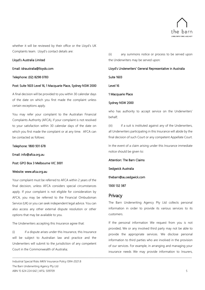

whether it will be reviewed by their office or the Lloyd's UK Complaints team. Lloyd's contact details are:

#### Lloyd's Australia Limited

Email: idraustralia@lloyds.com

#### Telephone: (02) 8298 0783

#### Post: Suite 1603 Level 16, 1 Macquarie Place, Sydney NSW 2000

A final decision will be provided to you within 30 calendar days of the date on which you first made the complaint unless certain exceptions apply.

You may refer your complaint to the Australian Financial Complaints Authority (AFCA), if your complaint is not resolved to your satisfaction within 30 calendar days of the date on which you first made the complaint or at any time. AFCA can be contacted as follows:

#### Telephone: 1800 931 678

Email: info@afca.org.au

Post: GPO Box 3 Melbourne VIC 3001

#### Website: www.afca.org.au

Your complaint must be referred to AFCA within 2 years of the final decision, unless AFCA considers special circumstances apply. If your complaint is not eligible for consideration by AFCA, you may be referred to the Financial Ombudsman Service (UK) or you can seek independent legal advice. You can also access any other external dispute resolution or other options that may be available to you.

The Underwriters accepting this Insurance agree that:

(i) if a dispute arises under this Insurance, this Insurance will be subject to Australian law and practice and the Underwriters will submit to the jurisdiction of any competent Court in the Commonwealth of Australia;

Industrial Special Risks MKIV Insurance Policy ISR4-2021.8 The Barn Underwriting Agency Pty Ltd ABN 15 624 224 642 | AFSL 509709 5

(ii) any summons notice or process to be served upon the Underwriters may be served upon:

#### Lloyd's Underwriters' General Representative in Australia

Suite 1603

Level 16

1 Macquarie Place

#### Sydney NSW 2000

who has authority to accept service on the Underwriters' behalf;

(iii) if a suit is instituted against any of the Underwriters, all Underwriters participating in this Insurance will abide by the final decision of such Court or any competent Appellate Court.

In the event of a claim arising under this Insurance immediate notice should be given to:

Attention: The Barn Claims

Sedgwick Australia

thebarn@au.sedgwick.com

1300 132 387

#### <span id="page-5-0"></span>**Privacy**

\_\_\_\_\_\_\_\_\_\_\_\_\_\_\_\_\_\_\_\_\_\_\_\_\_\_\_\_\_\_\_\_\_\_\_\_\_\_\_\_\_\_\_\_\_\_\_\_\_\_\_\_\_\_\_\_\_\_\_\_\_\_\_\_\_\_\_\_\_\_\_\_\_\_\_\_\_\_\_\_\_\_\_\_\_\_\_\_\_\_\_\_\_\_\_\_\_\_\_\_\_\_\_\_\_\_\_\_\_\_\_\_\_\_\_\_\_\_\_\_\_\_\_\_\_\_\_\_\_\_\_\_\_\_\_\_\_\_\_\_\_\_\_\_\_\_\_\_\_\_\_\_\_

The Barn Underwriting Agency Pty Ltd collects personal information in order to provide its various services to its customers.

If the personal information We request from you is not provided, We or any involved third party may not be able to provide the appropriate services. We disclose personal information to third parties who are involved in the provision of our services. For example, in arranging and managing your insurance needs We may provide information to Insurers,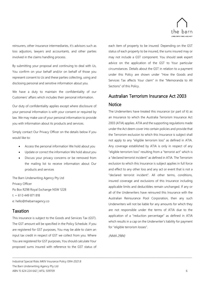

reinsurers, other insurance intermediaries, it's advisors such as loss adjustors, lawyers and accountants, and other parties involved in the claims handling process.

By submitting your proposal and continuing to deal with Us, You confirm on your behalf and/or on behalf of those you represent consent to Us and these parties collecting, using and disclosing personal and sensitive information about you.

We have a duty to maintain the confidentiality of our Customers' affairs which includes their personal information.

Our duty of confidentiality applies except where disclosure of your personal information is with your consent or required by law. We may make use of your personal information to provide you with information about its products and services.

Simply contact Our Privacy Officer on the details below if you would like to:

- Access the personal information We hold about you
- Update or correct the information We hold about you
- Discuss your privacy concerns or be removed from the mailing list to receive information about Our products and services

The Barn Underwriting Agency Pty Ltd Privacy Officer Po Box R298 Royal Exchange NSW 1228 t: + 61 0 449 871 818 e: hello@thebarnagency.co

## <span id="page-6-0"></span>Taxation

This insurance is subject to the Goods and Services Tax (GST). The GST amount will be specified in the Policy Schedule. If you are registered for GST purposes, You may be able to claim an input tax credit in respect of GST we collect from you. Where You are registered for GST purposes, You should calculate Your proposed sums insured with reference to the GST status of each item of property to be insured. Depending on the GST status of each property to be insured, the sums insured may or may not include a GST component. You should seek expert advice on the application of the GST to Your particular circumstances. Details about the GST in relation to a payment under this Policy are shown under "How the Goods and Services Tax affects Your claim" in the "Memoranda to All Sections" of this Policy.

## <span id="page-6-1"></span>Australian Terrorism Insurance Act 2003 **Notice**

The Underwriters have treated this insurance (or part of it) as an Insurance to which the Australia Terrorism Insurance Act 2003 (ATIA) applies. ATIA and the supporting regulations made under the Act deem cover into certain policies and provide that the Terrorism exclusion to which this Insurance is subject shall not apply to any "eligible terrorism loss" as defined in ATIA. Any coverage established by ATIA is only in respect of any "eligible terrorism loss" resulting from a "terrorist act" which is a "declared terrorist incident" as defined in ATIA. The Terrorism exclusion to which this Insurance is subject applies in full force and effect to any other loss and any act or event that is not a "declared terrorist incident". All other terms, conditions, insured coverage and exclusions of this Insurance including applicable limits and deductibles remain unchanged. If any or all of the Underwriters have reinsured this Insurance with the Australian Reinsurance Pool Corporation, then any such Underwriters will not be liable for any amounts for which they are not responsible under the terms of ATIA due to the application of a "reduction percentage" as defined in ATIA which results in a cap on the Underwriter's liability for payment for "eligible terrorism losses".

(NMA 2984)

\_\_\_\_\_\_\_\_\_\_\_\_\_\_\_\_\_\_\_\_\_\_\_\_\_\_\_\_\_\_\_\_\_\_\_\_\_\_\_\_\_\_\_\_\_\_\_\_\_\_\_\_\_\_\_\_\_\_\_\_\_\_\_\_\_\_\_\_\_\_\_\_\_\_\_\_\_\_\_\_\_\_\_\_\_\_\_\_\_\_\_\_\_\_\_\_\_\_\_\_\_\_\_\_\_\_\_\_\_\_\_\_\_\_\_\_\_\_\_\_\_\_\_\_\_\_\_\_\_\_\_\_\_\_\_\_\_\_\_\_\_\_\_\_\_\_\_\_\_\_\_\_\_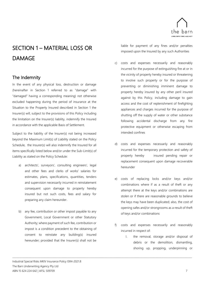

# <span id="page-7-0"></span>SECTION 1 – MATERIAL LOSS OR DAMAGE

## <span id="page-7-1"></span>The Indemnity

In the event of any physical loss, destruction or damage (hereinafter in Section 1 referred to as "damage" with "damaged" having a corresponding meaning) not otherwise excluded happening during the period of insurance at the Situation to the Property Insured described in Section 1 the Insurer(s) will, subject to the provisions of this Policy including the limitation on the Insurer(s) liability, indemnify the Insured in accordance with the applicable Basis of Settlement.

Subject to the liability of the Insurer(s) not being increased beyond the Maximum Limit(s) of Liability stated on the Policy Schedule, the Insurer(s) will also indemnify the Insured for all items specifically listed below and/or under the Sub-Limit(s) of Liability as stated on the Policy Schedule:

- architects', surveyors', consulting engineers', legal and other fees and clerks of works' salaries for estimates, plans, specifications, quantities, tenders and supervision necessarily incurred in reinstatement consequent upon damage to property hereby insured but not such costs, fees and salary for preparing any claim hereunder.
- b) any fee, contribution or other impost payable to any Government, Local Government or other Statutory Authority; where payment of such fee, contribution or impost is a condition precedent to the obtaining of consent to reinstate any building(s) insured hereunder; provided that the Insurer(s) shall not be

\_\_\_\_\_\_\_\_\_\_\_\_\_\_\_\_\_\_\_\_\_\_\_\_\_\_\_\_\_\_\_\_\_\_\_\_\_\_\_\_\_\_\_\_\_\_\_\_\_\_\_\_\_\_\_\_\_\_\_\_\_\_\_\_\_\_\_\_\_\_\_\_\_\_\_\_\_\_\_\_\_\_\_\_\_\_\_\_\_\_\_\_\_\_\_\_\_\_\_\_\_\_\_\_\_\_\_\_\_\_\_\_\_\_\_\_\_\_\_\_\_\_\_\_\_\_\_\_\_\_\_\_\_\_\_\_\_\_\_\_\_\_\_\_\_\_\_\_\_\_\_\_\_

liable for payment of any fines and/or penalties imposed upon the Insured by any such Authorities

- c) costs and expenses necessarily and reasonably incurred for the purpose of extinguishing fire at or in the vicinity of property hereby insured or threatening to involve such property or for the purpose of preventing or diminishing imminent damage to property hereby insured by any other peril insured against by this Policy, including damage to gain access and the cost of replenishment of firefighting appliances and charges incurred for the purpose of shutting off the supply of water or other substance following accidental discharge from any fire protective equipment or otherwise escaping from intended confines
- d) costs and expenses necessarily and reasonably incurred for the temporary protection and safety of property hereby insured pending repair or replacement consequent upon damage recoverable hereunder
- e) costs of replacing locks and/or keys and/or combinations where if as a result of theft or any attempt there at the keys and/or combinations are stolen or if there are reasonable grounds to believe the keys may have been duplicated; also, the cost of opening safes and/or strongrooms as a result of theft of keys and/or combinations
- f) costs and expenses necessarily and reasonably incurred in respect of:
	- I. the removal, storage and/or disposal of debris or the demolition, dismantling, shoring up, propping, underpinning or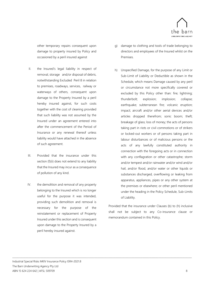

other temporary repairs consequent upon damage to property insured by Policy and occasioned by a peril insured against

- II. the Insured's legal liability in respect of removal, storage and/or disposal of debris, notwithstanding Excluded Peril 8 in relation to premises, roadways, services, railway or waterways of others, consequent upon damage to the Property Insured by a peril hereby insured against, for such costs together with the cost of cleaning provided that such liability was not assumed by the Insured under an agreement entered into after the commencement of the Period of Insurance or any renewal thereof unless liability would have attached in the absence of such agreement.
- III. Provided that the insurance under this section (f)(ii) does not extend to any liability that the Insured may incur as a consequence of pollution of any kind.
- IV. the demolition and removal of any property belonging to the Insured which is no longer useful for the purpose it was intended, providing such demolition and removal is necessary for the purpose of the reinstatement or replacement of Property Insured under this section and is consequent upon damage to the Property Insured by a peril hereby insured against.

\_\_\_\_\_\_\_\_\_\_\_\_\_\_\_\_\_\_\_\_\_\_\_\_\_\_\_\_\_\_\_\_\_\_\_\_\_\_\_\_\_\_\_\_\_\_\_\_\_\_\_\_\_\_\_\_\_\_\_\_\_\_\_\_\_\_\_\_\_\_\_\_\_\_\_\_\_\_\_\_\_\_\_\_\_\_\_\_\_\_\_\_\_\_\_\_\_\_\_\_\_\_\_\_\_\_\_\_\_\_\_\_\_\_\_\_\_\_\_\_\_\_\_\_\_\_\_\_\_\_\_\_\_\_\_\_\_\_\_\_\_\_\_\_\_\_\_\_\_\_\_\_\_

- g) damage to clothing and tools of trade belonging to directors and employees of the Insured whilst on the Premises.
- h) Unspecified Damage, for the purpose of any Limit or Sub-Limit of Liability or Deductible as shown in the Schedule, which means Damage caused by any peril or circumstance not more specifically covered or excluded by this Policy other than: fire; lightning; thunderbolt; explosion; implosion; collapse; earthquake; subterranean fire; volcanic eruption; impact; aircraft and/or other aerial devices and/or articles dropped therefrom; sonic boom; theft; breakage of glass; loss of money; the acts of persons taking part in riots or civil commotions or of strikers or locked-out workers or of persons taking part in labour disturbances or of malicious persons or the acts of any lawfully constituted authority in connection with the foregoing acts or in connection with any conflagration or other catastrophe; storm and/or tempest and/or rainwater and/or wind and/or hail, and/or flood, and/or water or other liquids or substances discharged, overflowing or leaking from apparatus, appliances, pipes or any other system at the premises or elsewhere; or other peril mentioned under the heading in the Policy Schedule, Sub-Limits of Liability.

Provided that the insurance under Clauses (b) to (h) inclusive shall not be subject to any Co-insurance clause or memorandum contained in this Policy.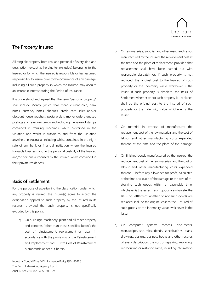

## <span id="page-9-0"></span>The Property Insured

All tangible property both real and personal of every kind and description (except as hereinafter excluded) belonging to the Insured or for which the Insured is responsible or has assumed responsibility to insure prior to the occurrence of any damage, including all such property in which the Insured may acquire an insurable interest during the Period of Insurance.

It is understood and agreed that the term "personal property" shall include Money (which shall mean current coin, bank notes, currency notes, cheques, credit card sales and/or discount house vouchers, postal orders, money orders, unused postage and revenue stamps and including the value of stamps contained in franking machines) whilst contained in the Situation and whilst in transit to and from the Situation anywhere in Australia, including whilst contained in the night safe of any bank or financial institution where the Insured transacts business, and in the personal custody of the Insured and/or persons authorised by the Insured whilst contained in their private residences.

## <span id="page-9-1"></span>Basis of Settlement

For the purpose of ascertaining the classification under which any property is insured, the Insurer(s) agree to accept the designation applied to such property by the Insured in its records, provided that such property is not specifically excluded by this policy.

a) On buildings, machinery, plant and all other property and contents (other than those specified below): the cost of reinstatement, replacement or repair in accordance with the provisions of the Reinstatement and Replacement and Extra Cost of Reinstatement Memoranda as set out herein.

\_\_\_\_\_\_\_\_\_\_\_\_\_\_\_\_\_\_\_\_\_\_\_\_\_\_\_\_\_\_\_\_\_\_\_\_\_\_\_\_\_\_\_\_\_\_\_\_\_\_\_\_\_\_\_\_\_\_\_\_\_\_\_\_\_\_\_\_\_\_\_\_\_\_\_\_\_\_\_\_\_\_\_\_\_\_\_\_\_\_\_\_\_\_\_\_\_\_\_\_\_\_\_\_\_\_\_\_\_\_\_\_\_\_\_\_\_\_\_\_\_\_\_\_\_\_\_\_\_\_\_\_\_\_\_\_\_\_\_\_\_\_\_\_\_\_\_\_\_\_\_\_\_

- b) On raw materials, supplies and other merchandise not manufactured by the Insured: the replacement cost at the time and the place of replacement, provided that replacement shall have been carried out with reasonable despatch or, if such property is not replaced, the original cost to the Insured of such property or the indemnity value, whichever is the lesser. If such property is obsolete, the Basis of Settlement whether or not such property is replaced shall be the original cost to the Insured of such property or the indemnity value, whichever is the lesser.
- c) On material in process of manufacture: the replacement cost of the raw materials and the cost of labour and other manufacturing costs expended thereon at the time and the place of the damage.
- d) On finished goods manufactured by the Insured, the replacement cost of the raw materials and the cost of labour and other manufacturing costs expended thereon before any allowance for profit, calculated at the time and place of the damage or the cost of restocking such goods within a reasonable time, whichever is the lesser. If such goods are obsolete, the Basis of Settlement whether or not such goods are replaced shall be the original cost to the Insured of such goods or the indemnity value, whichever is the lesser.
- e) On computer systems records, documents, manuscripts, securities, deeds, specifications, plans, drawings, designs, business books and other records of every description: the cost of repairing, replacing, reproducing or restoring same, including information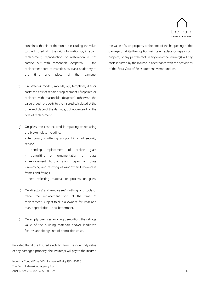

contained therein or thereon but excluding the value to the Insured of the said information or, if repair, replacement, reproduction or restoration is not carried out with reasonable despatch, the replacement cost of materials as blank stationery at the time and place of the damage.

- f) On patterns, models, moulds, jigs, templates, dies or casts: the cost of repair or replacement (if repaired or replaced with reasonable despatch) otherwise the value of such property to the Insured calculated at the time and place of the damage, but not exceeding the cost of replacement.
- g) On glass: the cost incurred in repairing or replacing the broken glass including:

- temporary shuttering and/or hiring of security service

- pending replacement of broken glass
- signwriting or ornamentation on glass

replacement burglar alarm tapes on glass - removing and re-fixing of window and show-case frames and fittings

- heat reflecting material or process on glass.

- h) On directors' and employees' clothing and tools of trade: the replacement cost at the time of replacement, subject to due allowance for wear and tear, depreciation and betterment.
- i) On empty premises awaiting demolition: the salvage value of the building materials and/or landlord's fixtures and fittings, net of demolition costs.

Provided that if the Insured elects to claim the indemnity value of any damaged property, the Insurer(s) will pay to the Insured

\_\_\_\_\_\_\_\_\_\_\_\_\_\_\_\_\_\_\_\_\_\_\_\_\_\_\_\_\_\_\_\_\_\_\_\_\_\_\_\_\_\_\_\_\_\_\_\_\_\_\_\_\_\_\_\_\_\_\_\_\_\_\_\_\_\_\_\_\_\_\_\_\_\_\_\_\_\_\_\_\_\_\_\_\_\_\_\_\_\_\_\_\_\_\_\_\_\_\_\_\_\_\_\_\_\_\_\_\_\_\_\_\_\_\_\_\_\_\_\_\_\_\_\_\_\_\_\_\_\_\_\_\_\_\_\_\_\_\_\_\_\_\_\_\_\_\_\_\_\_\_\_\_

Industrial Special Risks MKIV Insurance Policy ISR4-2021.8 The Barn Underwriting Agency Pty Ltd ABN 15 624 224 642 | AFSL 509709 10

the value of such property at the time of the happening of the damage or at its/their option reinstate, replace or repair such property or any part thereof. In any event the Insurer(s) will pay costs incurred by the Insured in accordance with the provisions of the Extra Cost of Reinstatement Memorandum.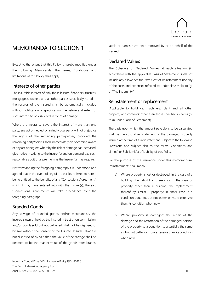

## <span id="page-11-0"></span>MEMORANDA TO SECTION 1

Except to the extent that this Policy is hereby modified under the following Memoranda, the terms, Conditions and limitations of this Policy shall apply.

## <span id="page-11-1"></span>Interests of other parties

The insurable interest of only those lessors, financiers, trustees, mortgagees, owners and all other parties specifically noted in the records of the Insured shall be automatically included without notification or specification; the nature and extent of such interest to be disclosed in event of damage.

Where the insurance covers the interest of more than one party, any act or neglect of an individual party will not prejudice the rights of the remaining party/parties; provided the remaining party/parties shall, immediately on becoming aware of any act or neglect whereby the risk of damage has increased, give notice in writing to the Insurer(s) and on demand pay such reasonable additional premium as the Insurer(s) may require.

Notwithstanding the foregoing paragraph it is understood and agreed that in the event of any of the parties referred to herein being entitled to the benefits of any "Concessions Agreement", which it may have entered into with the Insurer(s), the said "Concessions Agreement" will take precedence over the foregoing paragraph.

## <span id="page-11-2"></span>Branded Goods

Any salvage of branded goods and/or merchandise, the Insured's own or held by the Insured in trust or on commission, and/or goods sold but not delivered, shall not be disposed of by sale without the consent of the Insured. If such salvage is not disposed of by sale then the value of the salvage shall be deemed to be the market value of the goods after brands,

\_\_\_\_\_\_\_\_\_\_\_\_\_\_\_\_\_\_\_\_\_\_\_\_\_\_\_\_\_\_\_\_\_\_\_\_\_\_\_\_\_\_\_\_\_\_\_\_\_\_\_\_\_\_\_\_\_\_\_\_\_\_\_\_\_\_\_\_\_\_\_\_\_\_\_\_\_\_\_\_\_\_\_\_\_\_\_\_\_\_\_\_\_\_\_\_\_\_\_\_\_\_\_\_\_\_\_\_\_\_\_\_\_\_\_\_\_\_\_\_\_\_\_\_\_\_\_\_\_\_\_\_\_\_\_\_\_\_\_\_\_\_\_\_\_\_\_\_\_\_\_\_\_

labels or names have been removed by or on behalf of the Insured.

## <span id="page-11-3"></span>Declared Values

The Schedule of Declared Values at each situation (in accordance with the applicable Basis of Settlement) shall not include any allowance for Extra Cost of Reinstatement nor any of the costs and expenses referred to under clauses (b) to (g) of "The Indemnity".

## <span id="page-11-4"></span>Reinstatement or replacement

(Applicable to buildings, machinery, plant and all other property and contents; other than those specified in items (b) to (i) under Basis of Settlement).

The basis upon which the amount payable is to be calculated shall be the cost of reinstatement of the damaged property insured at the time of its reinstatement, subject to the following Provisions and subject also to the terms, Conditions and Limit(s) or Sub-Limit(s) of Liability of this Policy.

For the purpose of the insurance under this memorandum, "reinstatement" shall mean:

- a) Where property is lost or destroyed: in the case of a building, the rebuilding thereof or in the case of property other than a building, the replacement thereof by similar property; in either case in a condition equal to, but not better or more extensive than, its condition when new
- b) Where property is damaged: the repair of the damage and the restoration of the damaged portion of the property to a condition substantially the same as, but not better or more extensive than, its condition when new.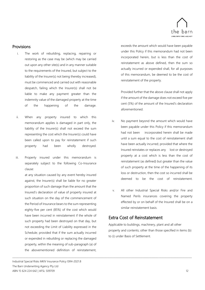

#### Provisions

- i. The work of rebuilding, replacing, repairing or restoring as the case may be (which may be carried out upon any other site(s) and in any manner suitable to the requirements of the Insured, but subject to the liability of the Insurer(s) not being thereby increased), must be commenced and carried out with reasonable despatch, failing which the Insurer(s) shall not be liable to make any payment greater than the indemnity value of the damaged property at the time of the happening of the damage.
- ii. When any property insured to which this memorandum applies is damaged in part only, the liability of the Insurer(s) shall not exceed the sum representing the cost which the Insurer(s) could have been called upon to pay for reinstatement if such property had been wholly destroyed.
- iii. Property insured under this memorandum is separately subject to the following Co-Insurance clause:

at any situation caused by any event hereby insured against, the Insurer(s) shall be liable for no greater proportion of such damage than the amount that the Insured's declaration of value of property insured at such situation on the day of the commencement of the Period of Insurance bears to the sum representing eighty-five per cent (85%) of the cost which would have been incurred in reinstatement if the whole of such property had been destroyed on that day, but not exceeding the Limit of Liability expressed in the Schedule; provided that if the sum actually incurred or expended in rebuilding or replacing the damaged property, within the meaning of sub-paragraph (a) of the abovementioned definition of reinstatement,

\_\_\_\_\_\_\_\_\_\_\_\_\_\_\_\_\_\_\_\_\_\_\_\_\_\_\_\_\_\_\_\_\_\_\_\_\_\_\_\_\_\_\_\_\_\_\_\_\_\_\_\_\_\_\_\_\_\_\_\_\_\_\_\_\_\_\_\_\_\_\_\_\_\_\_\_\_\_\_\_\_\_\_\_\_\_\_\_\_\_\_\_\_\_\_\_\_\_\_\_\_\_\_\_\_\_\_\_\_\_\_\_\_\_\_\_\_\_\_\_\_\_\_\_\_\_\_\_\_\_\_\_\_\_\_\_\_\_\_\_\_\_\_\_\_\_\_\_\_\_\_\_\_ Industrial Special Risks MKIV Insurance Policy ISR4-2021.8 The Barn Underwriting Agency Pty Ltd ABN 15 624 224 642 | AFSL 509709 12

exceeds the amount which would have been payable under this Policy if this memorandum had not been incorporated herein, but is less than the cost of reinstatement as above defined, then the sum so actually incurred or expended shall, for all purposes of this memorandum, be deemed to be the cost of reinstatement of the property.

Provided further that the above clause shall not apply if the amount of the damage does not exceed five per cent (5%) of the amount of the Insured's declaration aforementioned.

- iv. No payment beyond the amount which would have been payable under this Policy if this memorandum had not been incorporated herein shall be made until a sum equal to the cost of reinstatement shall have been actually incurred; provided that where the Insured reinstates or replaces any lost or destroyed property at a cost which is less than the cost of reinstatement (as defined) but greater than the value of such property at the time of the happening of its loss or destruction, then the cost so incurred shall be deemed to be the cost of reinstatement.
- v. All other Industrial Special Risks and/or Fire and Named Perils insurances covering the property effected by or on behalf of the Insured shall be on a similar reinstatement basis.

## <span id="page-12-0"></span>Extra Cost of Reinstatement

Applicable to buildings, machinery, plant and all other property and contents; other than those specified in items (b) to (i) under Basis of Settlement.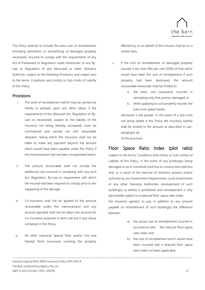

This Policy extends to include the extra cost of reinstatement (including demolition or dismantling) of damaged property necessarily incurred to comply with the requirements of any Act of Parliament or Regulation made thereunder or any By-Law or Regulation of any Municipal or other Statutory Authority; subject to the following Provisions and subject also to the terms, Conditions and Limit(s) or Sub-Limits of Liability of this Policy.

#### Provisions

- i. The work of reinstatement (which may be carried out wholly or partially upon any other site(s), if the requirements of the aforesaid Act, Regulation or By-Law so necessitate, subject to the liability of the Insurer(s) not being thereby increased), must be commenced and carried out with reasonable despatch, failing which the Insurer(s) shall not be liable to make any payment beyond the amount which would have been payable under this Policy if this memorandum had not been incorporated herein.
- ii. The amount recoverable shall not include the additional cost incurred in complying with any such Act, Regulation, By-Law or requirement with which the Insured had been required to comply prior to the happening of the damage.
- iii. Co-insurance shall not be applied to the amount recoverable under this memorandum and any amount specified shall not be taken into account for Co-insurance purposes in terms set out in any clause contained in this Policy.
- iv. All other Industrial Special Risks and/or Fire and Named Perils insurances covering the property

\_\_\_\_\_\_\_\_\_\_\_\_\_\_\_\_\_\_\_\_\_\_\_\_\_\_\_\_\_\_\_\_\_\_\_\_\_\_\_\_\_\_\_\_\_\_\_\_\_\_\_\_\_\_\_\_\_\_\_\_\_\_\_\_\_\_\_\_\_\_\_\_\_\_\_\_\_\_\_\_\_\_\_\_\_\_\_\_\_\_\_\_\_\_\_\_\_\_\_\_\_\_\_\_\_\_\_\_\_\_\_\_\_\_\_\_\_\_\_\_\_\_\_\_\_\_\_\_\_\_\_\_\_\_\_\_\_\_\_\_\_\_\_\_\_\_\_\_\_\_\_\_\_

effected by or on behalf of the Insured shall be on a similar basis.

- v. If the cost of reinstatement of damaged property insured is less than fifty per cent (50%) of that which would have been the cost of reinstatement if such property had been destroyed, the amount recoverable hereunder shall be limited to:
	- a. the extra cost necessarily incurred in reinstating only that portion damaged; or
	- b. whilst applying to such property insured, the Sub-Limit stated herein,

whichever is the greater. In the event of a Sub-Limit not being stated in this Policy the Insurer(s) liability shall be limited to the amount as described in subparagraph (a)

of this provision.

## <span id="page-13-0"></span>Floor Space Ratio Index (plot ratio)

Subject to the terms, Conditions and Limit(s) or Sub-Limit(s) of Liability of this Policy, in the event of any building(s) being damaged so as to constitute total loss or constructive total loss and, as a result of the exercise of Statutory powers and/or authority by any Government Departments, Local Government or any other Statutory Authorities reinstatement of such building(s) as before is prohibited and reinstatement is only permissible subject to a reduced floor space ratio index.

the Insurer(s) agree(s) to pay in addition to any amount payable on reinstatement of such building(s) the difference between:

- a) the actual cost of reinstatement incurred in accordance with the reduced floor space ratio index and
- b) the cost of reinstatement which would have been incurred had a reduced floor space ratio index not been applicable.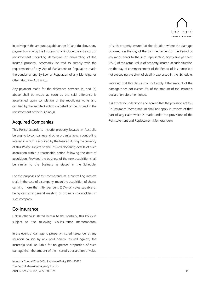

In arriving at the amount payable under (a) and (b) above, any payments made by the Insurer(s) shall include the extra cost of reinstatement, including demolition or dismantling of the insured property, necessarily incurred to comply with the requirements of any Act of Parliament or Regulation made thereunder or any By-Law or Regulation of any Municipal or other Statutory Authority.

Any payment made for the difference between (a) and (b) above shall be made as soon as the said difference is ascertained upon completion of the rebuilding works and certified by the architect acting on behalf of the Insured in the reinstatement of the building(s).

## <span id="page-14-0"></span>Acquired Companies

This Policy extends to include property located in Australia belonging to companies and other organisations, a controlling interest in which is acquired by the Insured during the currency of this Policy; subject to the Insured declaring details of such acquisition within a reasonable period following the date of acquisition. Provided the business of the new acquisition shall be similar to the Business as stated in the Schedule.

For the purposes of this memorandum, a controlling interest shall, in the case of a company, mean the acquisition of shares carrying more than fifty per cent (50%) of votes capable of being cast at a general meeting of ordinary shareholders in such company.

## <span id="page-14-1"></span>Co-Insurance

Unless otherwise stated herein to the contrary, this Policy is subject to the following Co-insurance memorandum:

In the event of damage to property insured hereunder at any situation caused by any peril hereby insured against, the Insurer(s) shall be liable for no greater proportion of such damage than the amount of the Insured's declaration of value

\_\_\_\_\_\_\_\_\_\_\_\_\_\_\_\_\_\_\_\_\_\_\_\_\_\_\_\_\_\_\_\_\_\_\_\_\_\_\_\_\_\_\_\_\_\_\_\_\_\_\_\_\_\_\_\_\_\_\_\_\_\_\_\_\_\_\_\_\_\_\_\_\_\_\_\_\_\_\_\_\_\_\_\_\_\_\_\_\_\_\_\_\_\_\_\_\_\_\_\_\_\_\_\_\_\_\_\_\_\_\_\_\_\_\_\_\_\_\_\_\_\_\_\_\_\_\_\_\_\_\_\_\_\_\_\_\_\_\_\_\_\_\_\_\_\_\_\_\_\_\_\_\_

of such property insured, at the situation where the damage occurred, on the day of the commencement of the Period of Insurance bears to the sum representing eighty-five per cent (85%) of the actual value of property insured at such situation on the day of commencement of the Period of Insurance but not exceeding the Limit of Liability expressed in the Schedule.

Provided that this clause shall not apply if the amount of the damage does not exceed 5% of the amount of the Insured's declaration aforementioned.

It is expressly understood and agreed that the provisions of this Co-insurance Memorandum shall not apply in respect of that part of any claim which is made under the provisions of the Reinstatement and Replacement Memorandum.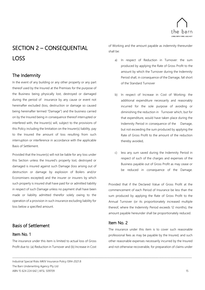

# <span id="page-15-0"></span>SECTION 2 – CONSEQUENTIAL LOSS

## <span id="page-15-1"></span>The Indemnity

In the event of any building or any other property or any part thereof used by the Insured at the Premises for the purpose of the Business being physically lost, destroyed or damaged during the period of insurance by any cause or event not hereinafter excluded (loss, destruction or damage so caused being hereinafter termed "Damage") and the business carried on by the Insured being in consequence thereof interrupted or interfered with, the Insurer(s) will, subject to the provisions of this Policy including the limitation on the Insurer(s) liability, pay to the Insured the amount of loss resulting from such interruption or interference in accordance with the applicable Basis of Settlement.

Provided that the Insurer(s) will not be liable for any loss under this Section unless the Insured's property lost, destroyed or damaged is insured against such Damage (loss arising out of destruction or damage by explosion of Boilers and/or Economisers excepted) and the insurer or insurers by which such property is insured shall have paid for or admitted liability in respect of such Damage unless no payment shall have been made or liability admitted therefor solely owing to the operation of a provision in such insurance excluding liability for loss below a specified amount.

## <span id="page-15-2"></span>Basis of Settlement

#### <span id="page-15-3"></span>Item No. 1

The insurance under this item is limited to actual loss of Gross Profit due to: (a) Reduction in Turnover and (b) Increase in Cost

Industrial Special Risks MKIV Insurance Policy ISR4-2021.8 The Barn Underwriting Agency Pty Ltd ABN 15 624 224 642 | AFSL 509709 15

of Working and the amount payable as indemnity thereunder shall be:

- a) In respect of Reduction in Turnover: the sum produced by applying the Rate of Gross Profit to the amount by which the Turnover during the Indemnity Period shall, in consequence of the Damage, fall short of the Standard Turnover
- b) In respect of Increase in Cost of Working: the additional expenditure necessarily and reasonably incurred for the sole purpose of avoiding or diminishing the reduction in Turnover which, but for that expenditure, would have taken place during the Indemnity Period in consequence of the Damage, but not exceeding the sum produced by applying the Rate of Gross Profit to the amount of the reduction thereby avoided,
- c) less any sum saved during the Indemnity Period in respect of such of the charges and expenses of the Business payable out of Gross Profit as may cease or be reduced in consequence of the Damage.

Provided that if the Declared Value of Gross Profit at the commencement of each Period of Insurance be less than the sum produced by applying the Rate of Gross Profit to the Annual Turnover (or its proportionately increased multiple thereof, where the Indemnity Period exceeds 12 months), the amount payable hereunder shall be proportionately reduced.

## <span id="page-15-4"></span>Item No. 2

\_\_\_\_\_\_\_\_\_\_\_\_\_\_\_\_\_\_\_\_\_\_\_\_\_\_\_\_\_\_\_\_\_\_\_\_\_\_\_\_\_\_\_\_\_\_\_\_\_\_\_\_\_\_\_\_\_\_\_\_\_\_\_\_\_\_\_\_\_\_\_\_\_\_\_\_\_\_\_\_\_\_\_\_\_\_\_\_\_\_\_\_\_\_\_\_\_\_\_\_\_\_\_\_\_\_\_\_\_\_\_\_\_\_\_\_\_\_\_\_\_\_\_\_\_\_\_\_\_\_\_\_\_\_\_\_\_\_\_\_\_\_\_\_\_\_\_\_\_\_\_\_\_

The insurance under this item is to cover such reasonable professional fees as may be payable by the Insured, and such other reasonable expenses necessarily incurred by the Insured and not otherwise recoverable, for preparation of claims under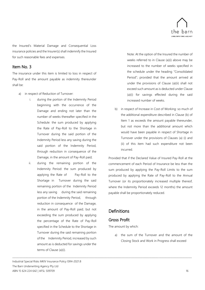

the Insured's Material Damage and Consequential Loss insurance policies and the Insurer(s) shall indemnify the Insured for such reasonable fees and expenses.

## <span id="page-16-0"></span>Item No. 3

The insurance under this item is limited to loss in respect of Pay-Roll and the amount payable as indemnity thereunder shall be:

- a) in respect of Reduction of Turnover:
	- i. during the portion of the Indemnity Period beginning with the occurrence of the Damage and ending not later than the number of weeks thereafter specified in the Schedule: the sum produced by applying the Rate of Pay-Roll to the Shortage in Turnover during the said portion of the Indemnity Period less any saving during the said portion of the Indemnity Period, through reduction in consequence of the Damage, in the amount of Pay-Roll paid;
	- ii. during the remaining portion of the Indemnity Period: the sum produced by applying the Rate of Pay-Roll to the Shortage in Turnover during the said remaining portion of the Indemnity Period less any saving during the said remaining portion of the Indemnity Period, through reduction in consequence of the Damage, in the amount of Pay-Roll paid; but not exceeding the sum produced by applying the percentage of the Rate of Pay-Roll specified in the Schedule to the Shortage in Turnover during the said remaining portion of the Indemnity Period, increased by such amount as is deducted for savings under the terms of Clause (a)(i).

Note: At the option of the Insured the number of weeks referred to in Clause (a)(i) above may be increased to the number of weeks specified in the schedule under the heading "Consolidated Period"; provided that the amount arrived at under the provisions of Clause (a)(ii) shall not exceed such amount as is deducted under Clause (a)(i) for savings effected during the said increased number of weeks.

b) in respect of Increase in Cost of Working: so much of the additional expenditure described in Clause (b) of Item 1 as exceeds the amount payable thereunder, but not more than the additional amount which would have been payable in respect of Shortage in Turnover under the provisions of Clauses (a) (i) and (ii) of this item had such expenditure not been incurred.

Provided that if the Declared Value of Insured Pay-Roll at the commencement of each Period of Insurance be less than the sum produced by applying the Pay-Roll Limits to the sum produced by applying the Rate of Pay-Roll to the Annual Turnover (or its proportionately increased multiple thereof, where the Indemnity Period exceeds 12 months) the amount payable shall be proportionately reduced.

## <span id="page-16-1"></span>**Definitions**

## <span id="page-16-2"></span>Gross Profit

\_\_\_\_\_\_\_\_\_\_\_\_\_\_\_\_\_\_\_\_\_\_\_\_\_\_\_\_\_\_\_\_\_\_\_\_\_\_\_\_\_\_\_\_\_\_\_\_\_\_\_\_\_\_\_\_\_\_\_\_\_\_\_\_\_\_\_\_\_\_\_\_\_\_\_\_\_\_\_\_\_\_\_\_\_\_\_\_\_\_\_\_\_\_\_\_\_\_\_\_\_\_\_\_\_\_\_\_\_\_\_\_\_\_\_\_\_\_\_\_\_\_\_\_\_\_\_\_\_\_\_\_\_\_\_\_\_\_\_\_\_\_\_\_\_\_\_\_\_\_\_\_\_

The amount by which:

a) the sum of the Turnover and the amount of the Closing Stock and Work in Progress shall exceed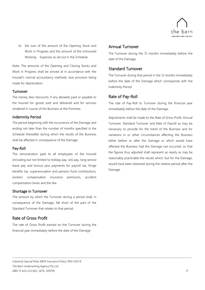

b) the sum of the amount of the Opening Stock and Work in Progress and the amount of the Uninsured Working Expenses as set out in the Schedule.

Note: The amounts of the Opening and Closing Stocks and Work in Progress shall be arrived at in accordance with the Insured's normal accountancy methods; due provision being made for depreciation.

#### <span id="page-17-0"></span>Turnover

The money (less discounts, if any allowed) paid or payable to the Insured for goods sold and delivered and for services rendered in course of the Business at the Premises.

#### <span id="page-17-1"></span>Indemnity Period

The period beginning with the occurrence of the Damage and ending not later than the number of months specified in the Schedule thereafter during which the results of the Business shall be affected in consequence of the Damage.

#### <span id="page-17-2"></span>Pay-Roll

The remuneration paid to all employees of the Insured (including but not limited to holiday pay, sick pay, long service leave pay and bonus) plus payments for payroll tax, fringe benefits tax, superannuation and pension fund contributions, workers compensation insurance premiums, accident compensation levies and the like.

#### <span id="page-17-3"></span>Shortage in Turnover

The amount by which the Turnover during a period shall, in consequence of the Damage, fall short of the part of the Standard Turnover that relates to that period.

### <span id="page-17-4"></span>Rate of Gross Profit

The rate of Gross Profit earned on the Turnover during the financial year immediately before the date of the Damage.

## <span id="page-17-5"></span>Annual Turnover

The Turnover during the 12 months immediately before the date of the Damage.

## <span id="page-17-6"></span>Standard Turnover

The Turnover during that period in the 12 months immediately before the date of the Damage which corresponds with the Indemnity Period.

## <span id="page-17-7"></span>Rate of Pay-Roll

\_\_\_\_\_\_\_\_\_\_\_\_\_\_\_\_\_\_\_\_\_\_\_\_\_\_\_\_\_\_\_\_\_\_\_\_\_\_\_\_\_\_\_\_\_\_\_\_\_\_\_\_\_\_\_\_\_\_\_\_\_\_\_\_\_\_\_\_\_\_\_\_\_\_\_\_\_\_\_\_\_\_\_\_\_\_\_\_\_\_\_\_\_\_\_\_\_\_\_\_\_\_\_\_\_\_\_\_\_\_\_\_\_\_\_\_\_\_\_\_\_\_\_\_\_\_\_\_\_\_\_\_\_\_\_\_\_\_\_\_\_\_\_\_\_\_\_\_\_\_\_\_\_

The rate of Pay-Roll to Turnover during the financial year immediately before the date of the Damage.

Adjustments shall be made to the Rate of Gross Profit, Annual Turnover, Standard Turnover and Rate of Payroll as may be necessary to provide for the trend of the Business and for variations in or other circumstances affecting the Business either before or after the Damage or which would have affected the Business had the Damage not occurred, so that the figures thus adjusted shall represent as nearly as may be reasonably practicable the results which, but for the Damage, would have been obtained during the relative period after the Damage.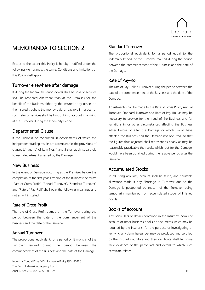

## <span id="page-18-0"></span>MEMORANDA TO SECTION 2

Except to the extent this Policy is hereby modified under the following Memoranda, the terms, Conditions and limitations of this Policy shall apply.

## <span id="page-18-1"></span>Turnover elsewhere after damage

If during the Indemnity Period goods shall be sold or services shall be rendered elsewhere than at the Premises for the benefit of the Business either by the Insured or by others on the Insured's behalf, the money paid or payable in respect of such sales or services shall be brought into account in arriving at the Turnover during the Indemnity Period.

## <span id="page-18-2"></span>Departmental Clause

If the Business be conducted in departments of which the independent trading results are ascertainable, the provisions of clauses (a) and (b) of Item Nos. 1 and 3 shall apply separately to each department affected by the Damage.

## <span id="page-18-3"></span>New Business

In the event of Damage occurring at the Premises before the completion of the first year's trading of the Business the terms "Rate of Gross Profit", "Annual Turnover", "Standard Turnover" and "Rate of Pay-Roll" shall bear the following meanings and not as within stated:

### <span id="page-18-4"></span>Rate of Gross Profit

The rate of Gross Profit earned on the Turnover during the period between the date of the commencement of the Business and the date of the Damage.

### <span id="page-18-5"></span>Annual Turnover

The proportional equivalent, for a period of 12 months, of the Turnover realised during the period between the commencement of the Business and the date of the Damage.

### <span id="page-18-6"></span>Standard Turnover

The proportional equivalent, for a period equal to the Indemnity Period, of the Turnover realised during the period between the commencement of the Business and the date of the Damage.

## <span id="page-18-7"></span>Rate of Pay-Roll

The rate of Pay-Roll to Turnover during the period between the date of the commencement of the Business and the date of the Damage.

Adjustments shall be made to the Rate of Gross Profit, Annual Turnover, Standard Turnover and Rate of Pay-Roll as may be necessary to provide for the trend of the Business and for variations in or other circumstances affecting the Business either before or after the Damage or which would have affected the Business had the Damage not occurred, so that the figures thus adjusted shall represent as nearly as may be reasonably practicable the results which, but for the Damage, would have been obtained during the relative period after the Damage.

## <span id="page-18-8"></span>Accumulated Stocks

In adjusting any loss, account shall be taken, and equitable allowance made if any Shortage in Turnover due to the Damage is postponed by reason of the Turnover being temporarily maintained from accumulated stocks of finished goods.

## <span id="page-18-9"></span>Books of account

\_\_\_\_\_\_\_\_\_\_\_\_\_\_\_\_\_\_\_\_\_\_\_\_\_\_\_\_\_\_\_\_\_\_\_\_\_\_\_\_\_\_\_\_\_\_\_\_\_\_\_\_\_\_\_\_\_\_\_\_\_\_\_\_\_\_\_\_\_\_\_\_\_\_\_\_\_\_\_\_\_\_\_\_\_\_\_\_\_\_\_\_\_\_\_\_\_\_\_\_\_\_\_\_\_\_\_\_\_\_\_\_\_\_\_\_\_\_\_\_\_\_\_\_\_\_\_\_\_\_\_\_\_\_\_\_\_\_\_\_\_\_\_\_\_\_\_\_\_\_\_\_\_

Any particulars or details contained in the Insured's books of account or other business books or documents which may be required by the Insurer(s) for the purpose of investigating or verifying any claim hereunder may be produced and certified by the Insured's auditors and their certificate shall be prima facie evidence of the particulars and details to which such certificate relates.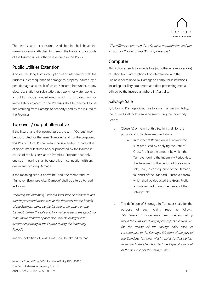

The words and expressions used herein shall have the meanings usually attached to them in the books and accounts of the Insured unless otherwise defined in this Policy.

## <span id="page-19-0"></span>Public Utilities Extension

Any loss resulting from interruption of or interference with the Business in consequence of damage to property, caused by a peril damage as a result of which is insured hereunder, at any electricity station or sub-station, gas works, or water works of a public supply undertaking which is situated on or immediately adjacent to the Premises shall be deemed to be loss resulting from Damage to property used by the Insured at the Premises.

## <span id="page-19-1"></span>Turnover / output alternative

If the Insurer and the Insured agree, the term "Output" may be substituted for the term "Turnover" and, for the purpose of this Policy, "Output" shall mean the sale and/or invoice value of goods manufactured and/or processed by the Insured in course of the Business at the Premises. Provided that only one such meaning shall be operative in connection with any one event involving Damage.

If the meaning set out above be used, the memorandum "Turnover Elsewhere After Damage" shall be altered to read as follows:

"If during the Indemnity Period goods shall be manufactured and/or processed other than at the Premises for the benefit of the Business either by the Insured or by others on the Insured's behalf the sale and/or invoice value of the goods so manufactured and/or processed shall be brought into account in arriving at the Output during the Indemnity Period".

and the definition of Gross Profit shall be altered to read:

"The difference between the sale value of production and the amount of the Uninsured Working Expenses".

## <span id="page-19-2"></span>**Computer**

This Policy extends to include loss (not otherwise recoverable) resulting from interruption of or interference with the Business occasioned by Damage to computer installations, including ancillary equipment and data processing media utilised by the Insured anywhere in Australia.

## <span id="page-19-3"></span>Salvage Sale

\_\_\_\_\_\_\_\_\_\_\_\_\_\_\_\_\_\_\_\_\_\_\_\_\_\_\_\_\_\_\_\_\_\_\_\_\_\_\_\_\_\_\_\_\_\_\_\_\_\_\_\_\_\_\_\_\_\_\_\_\_\_\_\_\_\_\_\_\_\_\_\_\_\_\_\_\_\_\_\_\_\_\_\_\_\_\_\_\_\_\_\_\_\_\_\_\_\_\_\_\_\_\_\_\_\_\_\_\_\_\_\_\_\_\_\_\_\_\_\_\_\_\_\_\_\_\_\_\_\_\_\_\_\_\_\_\_\_\_\_\_\_\_\_\_\_\_\_\_\_\_\_\_

If, following Damage giving rise to a claim under this Policy, the Insured shall hold a salvage sale during the Indemnity Period:

- i. Clause (a) of Item 1 of this Section shall, for the purpose of such claim, read as follows:
	- a. In respect of Reduction in Turnover: the sum produced by applying the Rate of Gross Profit to the amount by which the Turnover during the Indemnity Period (less the Turnover for the period of the salvage sale) shall, in consequence of the Damage, fall short of the Standard Turnover, from which shall be deducted the Gross Profit actually earned during the period of the salvage sale.
- ii. The definition of Shortage in Turnover shall, for the purpose of such claim, read as follows: "Shortage in Turnover shall mean: the amount by which the Turnover during a period (less the Turnover for the period of the salvage sale) shall, in consequence of the Damage, fall short of the part of the Standard Turnover which relates to that period, from which shall be deducted the Pay-Roll paid out of the proceeds of the salvage sale".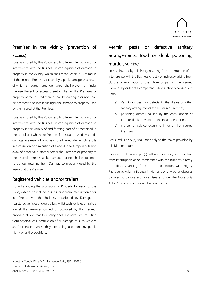

## <span id="page-20-0"></span>Premises in the vicinity (prevention of access)

Loss as insured by this Policy resulting from interruption of or interference with the Business in consequence of damage to property in the vicinity, which shall mean within a 5km radius of the Insured Premises, caused by a peril, damage as a result of which is insured hereunder, which shall prevent or hinder the use thereof or access thereto, whether the Premises or property of the Insured therein shall be damaged or not, shall be deemed to be loss resulting from Damage to property used by the Insured at the Premises.

Loss as insured by this Policy resulting from interruption of or interference with the Business in consequence of damage to property in the vicinity of and forming part of or contained in the complex of which the Premises forms part caused by a peril, damage as a result of which is insured hereunder, which results in a cessation or diminution of trade due to temporary falling away of potential custom whether the Premises or property of the Insured therein shall be damaged or not shall be deemed to be loss resulting from Damage to property used by the Insured at the Premises.

## <span id="page-20-1"></span>Registered vehicles and/or trailers

Notwithstanding the provisions of Property Exclusion 5, this Policy extends to include loss resulting from interruption of or interference with the Business occasioned by Damage to registered vehicles and/or trailers whilst such vehicles or trailers are at the Premises owned or occupied by the Insured; provided always that this Policy does not cover loss resulting from physical loss, destruction of or damage to such vehicles and/ or trailers whilst they are being used on any public highway or thoroughfare.

\_\_\_\_\_\_\_\_\_\_\_\_\_\_\_\_\_\_\_\_\_\_\_\_\_\_\_\_\_\_\_\_\_\_\_\_\_\_\_\_\_\_\_\_\_\_\_\_\_\_\_\_\_\_\_\_\_\_\_\_\_\_\_\_\_\_\_\_\_\_\_\_\_\_\_\_\_\_\_\_\_\_\_\_\_\_\_\_\_\_\_\_\_\_\_\_\_\_\_\_\_\_\_\_\_\_\_\_\_\_\_\_\_\_\_\_\_\_\_\_\_\_\_\_\_\_\_\_\_\_\_\_\_\_\_\_\_\_\_\_\_\_\_\_\_\_\_\_\_\_\_\_\_

## <span id="page-20-2"></span>Vermin, pests or defective sanitary arrangements; food or drink poisoning; murder, suicide

Loss as insured by this Policy resulting from interruption of or interference with the Business directly or indirectly arising from closure or evacuation of the whole or part of the Insured Premises by order of a competent Public Authority consequent upon:

- a) Vermin or pests or defects in the drains or other sanitary arrangements at the Insured Premises;
- b) poisoning directly caused by the consumption of food or drink provided on the Insured Premises;
- c) murder or suicide occurring in or at the Insured Premises;

Perils Exclusion 5 (a) shall not apply to the cover provided by this Memorandum.

Provided that paragraph (a) will not indemnify loss resulting from interruption of or interference with the Business directly or indirectly arising from or in connection with Highly Pathogenic Avian Influenza in Humans or any other diseases declared to be quarantinable diseases under the Biosecurity Act 2015 and any subsequent amendments.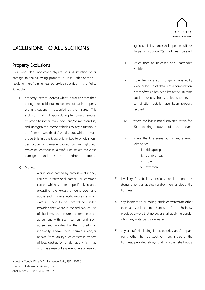

## <span id="page-21-0"></span>EXCLUSIONS TO ALL SECTIONS

## <span id="page-21-1"></span>Property Exclusions

This Policy does not cover physical loss, destruction of or damage to the following property or loss under Section 2 resulting therefrom, unless otherwise specified in the Policy Schedule:

- 1) property (except Money) whilst in transit other than during the incidental movement of such property within situations occupied by the Insured. This exclusion shall not apply during temporary removal of property (other than stock and/or merchandise) and unregistered motor vehicles to any situation in the Commonwealth of Australia but, whilst such property is in transit, cover is limited to physical loss, destruction or damage caused by fire, lightning, explosion, earthquake, aircraft, riot, strikes, malicious damage and storm and/or tempest.
- 2) Money:
	- i. whilst being carried by professional money carriers, professional carriers or common carriers which is more specifically insured excepting the excess amount over and above such more specific insurance which excess is held to be covered hereunder. Provided that where in the ordinary course of business the Insured enters into an agreement with such carriers and such agreement provides that the Insured shall indemnify and/or hold harmless and/or release from liability such carriers in respect of loss, destruction or damage which may occur as a result of any event hereby insured

\_\_\_\_\_\_\_\_\_\_\_\_\_\_\_\_\_\_\_\_\_\_\_\_\_\_\_\_\_\_\_\_\_\_\_\_\_\_\_\_\_\_\_\_\_\_\_\_\_\_\_\_\_\_\_\_\_\_\_\_\_\_\_\_\_\_\_\_\_\_\_\_\_\_\_\_\_\_\_\_\_\_\_\_\_\_\_\_\_\_\_\_\_\_\_\_\_\_\_\_\_\_\_\_\_\_\_\_\_\_\_\_\_\_\_\_\_\_\_\_\_\_\_\_\_\_\_\_\_\_\_\_\_\_\_\_\_\_\_\_\_\_\_\_\_\_\_\_\_\_\_\_\_

Industrial Special Risks MKIV Insurance Policy ISR4-2021.8 The Barn Underwriting Agency Pty Ltd ABN 15 624 224 642 | AFSL 509709 21

against, this insurance shall operate as if this Property Exclusion 2(a) had been deleted.

- ii. stolen from an unlocked and unattended vehicle
- iii. stolen from a safe or strongroom opened by a key or by use of details of a combination, either of which has been left at the Situation outside business hours, unless such key or combination details have been properly secured
- iv. where the loss is not discovered within five (5) working days of the event
- v. where the loss arises out or any attempt relating to:
	- i. kidnapping
	- ii. bomb threat
	- iii. hoax
	- iv. extortion
- 3) jewellery, furs, bullion, precious metals or precious stones other than as stock and/or merchandise of the Business
- 4) any locomotive or rolling stock or watercraft other than as stock or merchandise of the Business; provided always that no cover shall apply hereunder whilst any watercraft is on water
- 5) any aircraft (including its accessories and/or spare parts) other than as stock or merchandise of the Business; provided always that no cover shall apply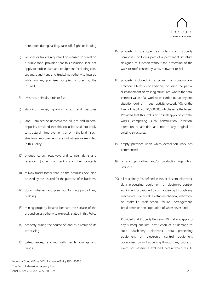

hereunder during taxiing, take-off, flight or landing

- 6) vehicles or trailers registered or licensed to travel on a public road, provided that this exclusion shall not apply to mobile plant and equipment (excluding cars, sedans, panel vans and trucks) not otherwise insured whilst on any premises occupied or used by the Insured
- 7) livestock, animals, birds or fish
- 8) standing timber, growing crops and pastures
- 9) land, unmined or unrecovered oil, gas and mineral deposits, provided that this exclusion shall not apply to structural improvements on or in the land if such structural improvements are not otherwise excluded in this Policy
- 10) bridges, canals, roadways and tunnels, dams and reservoirs (other than tanks) and their contents
- 11) railway tracks (other than on the premises occupied or used by the Insured for the purpose of its business.
- 12) docks, wharves and piers not forming part of any building
- 13) mining property located beneath the surface of the ground unless otherwise expressly stated in this Policy
- 14) property during the course of, and as a result of, its processing
- 15) gates, fences, retaining walls, textile awnings and blinds

\_\_\_\_\_\_\_\_\_\_\_\_\_\_\_\_\_\_\_\_\_\_\_\_\_\_\_\_\_\_\_\_\_\_\_\_\_\_\_\_\_\_\_\_\_\_\_\_\_\_\_\_\_\_\_\_\_\_\_\_\_\_\_\_\_\_\_\_\_\_\_\_\_\_\_\_\_\_\_\_\_\_\_\_\_\_\_\_\_\_\_\_\_\_\_\_\_\_\_\_\_\_\_\_\_\_\_\_\_\_\_\_\_\_\_\_\_\_\_\_\_\_\_\_\_\_\_\_\_\_\_\_\_\_\_\_\_\_\_\_\_\_\_\_\_\_\_\_\_\_\_\_\_

Industrial Special Risks MKIV Insurance Policy ISR4-2021.8 The Barn Underwriting Agency Pty Ltd ABN 15 624 224 642 | AFSL 509709 22

- 16) property in the open air unless such property comprises, or forms part of a permanent structure designed to function without the protection of the walls or roof, caused by wind, rainwater or hail.
- 17) property included in a project of construction, erection, alteration or addition, including the partial dismantlement of existing structures, where the total contract value of all work to be carried out at any one situation during such activity exceeds 10% of the Limit of Liability or \$1,000,000, whichever is the lesser. Provided that this Exclusion 17 shall apply only to the works comprising such construction, erection, alteration or addition and not to any original or existing structures.
- 18) empty premises upon which demolition work has commenced.
- 19) oil and gas drilling and/or production rigs whilst offshore
- 20) all Machinery (as defined in this exclusion), electronic data processing equipment or electronic control equipment occasioned by or happening through any mechanical, electrical, electro-mechanical, electronic or hydraulic malfunction, failure, derangement, breakdown or non- operation of whatsoever kind.

Provided that Property Exclusion 20 shall not apply to any subsequent loss, destruction of or damage to such Machinery, electronic data processing equipment or electronic control equipment occasioned by or happening through any cause or event not otherwise excluded herein which results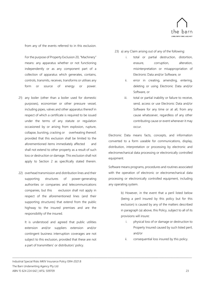

from any of the events referred to in this exclusion.

For the purpose of Property Exclusion 20, "Machinery" means: any apparatus whether or not functioning independently or as any component part of a collection of apparatus which generates, contains, controls, transmits, receives, transforms or utilises any form or source of energy or power.

- 21) any boiler (other than a boiler used for domestic purposes), economiser or other pressure vessel, including pipes, valves and other apparatus thereof in respect of which a certificate is required to be issued under the terms of any statute or regulation occasioned by or arising from explosion, rupture, collapse, bursting, cracking or overheating thereof; provided that this exclusion shall be limited to the aforementioned items immediately affected and shall not extend to other property as a result of such loss or destruction or damage. This exclusion shall not apply to Section 2 as specifically stated therein.
- 22) overhead transmission and distribution lines and their supporting structures of power-generating authorities or companies and telecommunications companies, but this exclusion shall not apply in respect of the aforementioned lines (and their supporting structures) that extend from the public highway to the insured premises and are the responsibility of the insured.

It is understood and agreed that public utilities extension and/or suppliers extension and/or contingent business interruption coverages are not subject to this exclusion, provided that these are not a part of transmitters' or distributors' policy.

\_\_\_\_\_\_\_\_\_\_\_\_\_\_\_\_\_\_\_\_\_\_\_\_\_\_\_\_\_\_\_\_\_\_\_\_\_\_\_\_\_\_\_\_\_\_\_\_\_\_\_\_\_\_\_\_\_\_\_\_\_\_\_\_\_\_\_\_\_\_\_\_\_\_\_\_\_\_\_\_\_\_\_\_\_\_\_\_\_\_\_\_\_\_\_\_\_\_\_\_\_\_\_\_\_\_\_\_\_\_\_\_\_\_\_\_\_\_\_\_\_\_\_\_\_\_\_\_\_\_\_\_\_\_\_\_\_\_\_\_\_\_\_\_\_\_\_\_\_\_\_\_\_

23) a) any Claim arising out of any of the following:

- i. total or partial destruction, distortion, erasure, corruption, alteration, misinterpretation or misappropriation of Electronic Data and/or Software, or
- ii. error in creating, amending, entering, deleting or using Electronic Data and/or Software, or
- iii. total or partial inability or failure to receive, send, access or use Electronic Data and/or Software for any time or at all, from any cause whatsoever, regardless of any other contributing cause or event whenever it may occur.

Electronic Data means facts, concepts, and information converted to a form useable for communications, display, distribution, interpretation or processing by electronic and electromechanical data processing or electronically controlled equipment.

Software means programs, procedures and routines associated with the operation of electronic or electromechanical data processing or electronically controlled equipment, including any operating system.

> b) However, in the event that a peril listed below (being a peril insured by this policy but for this exclusion) is caused by any of the matters described in paragraph (a) above, this Policy, subject to all of its provisions will insure:

- i. physical loss of or damage or destruction to Property Insured caused by such listed peril, and/or
- ii. consequential loss insured by this policy.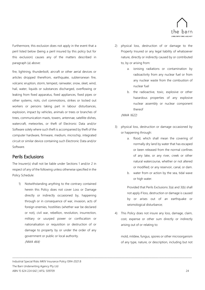

Furthermore, this exclusion does not apply in the event that a peril listed below (being a peril insured by this policy but for this exclusion) causes any of the matters described in paragraph (a) above:

fire, lightning, thunderbolt, aircraft or other aerial devices or articles dropped therefrom, earthquake, subterranean fire, volcanic eruption, storm, tempest, rainwater, snow, sleet, wind, hail, water, liquids or substances discharged, overflowing or leaking from fixed apparatus, fixed appliances, fixed pipes or other systems, riots, civil commotions, strikes or locked out workers or persons taking part in labour disturbances, explosion, impact by vehicles, animals or trees or branches of trees, communication masts, towers, antennae, satellite dishes, watercraft, meteorites, or theft of Electronic Data and/or Software solely where such theft is accompanied by theft of the computer hardware, firmware, medium, microchip, integrated circuit or similar device containing such Electronic Data and/or Software.

## <span id="page-24-0"></span>Perils Exclusions

The Insurer(s) shall not be liable under Sections 1 and/or 2 in respect of any of the following unless otherwise specified in the Policy Schedule:

1) Notwithstanding anything to the contrary contained herein this Policy does not cover Loss or Damage directly or indirectly occasioned by, happening through or in consequence of war, invasion, acts of foreign enemies, hostilities (whether war be declared or not), civil war, rebellion, revolution, insurrection, military or usurped power or confiscation or nationalisation or requisition or destruction of or damage to property by or under the order of any government or public or local authority. (NMA 464)

\_\_\_\_\_\_\_\_\_\_\_\_\_\_\_\_\_\_\_\_\_\_\_\_\_\_\_\_\_\_\_\_\_\_\_\_\_\_\_\_\_\_\_\_\_\_\_\_\_\_\_\_\_\_\_\_\_\_\_\_\_\_\_\_\_\_\_\_\_\_\_\_\_\_\_\_\_\_\_\_\_\_\_\_\_\_\_\_\_\_\_\_\_\_\_\_\_\_\_\_\_\_\_\_\_\_\_\_\_\_\_\_\_\_\_\_\_\_\_\_\_\_\_\_\_\_\_\_\_\_\_\_\_\_\_\_\_\_\_\_\_\_\_\_\_\_\_\_\_\_\_\_\_

- 2) physical loss, destruction of or damage to the Property Insured or any legal liability of whatsoever nature, directly or indirectly caused by or contributed to, by or arising from:
	- a. ionising radiations or contamination by radioactivity from any nuclear fuel or from any nuclear waste from the combustion of nuclear fuel
	- b. the radioactive, toxic, explosive or other hazardous properties of any explosive nuclear assembly or nuclear component thereof

(NMA 1622)

- 3) physical loss, destruction or damage occasioned by or happening through:
	- a. flood, which shall mean the covering of normally dry land by water that has escaped or been released from the normal confines of any lake, or any river, creek or other natural watercourse, whether or not altered or modified; or any reservoir, canal, or dam.
	- b. water from or action by the sea, tidal wave or high water.

Provided that Perils Exclusions 3(a) and 3(b) shall not apply if loss, destruction or damage is caused by or arises out of an earthquake or seismological disturbance;

4) This Policy does not insure any loss, damage, claim, cost, expense or other sum directly or indirectly arising out of or relating to:

mold, mildew, fungus, spores or other microorganism of any type, nature, or description, including but not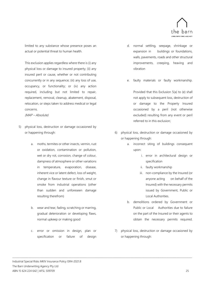

limited to any substance whose presence poses an actual or potential threat to human health.

This exclusion applies regardless where there is (i) any physical loss or damage to insured property; (ii) any insured peril or cause, whether or not contributing concurrently or in any sequence; (iii) any loss of use, occupancy, or functionality; or (iv) any action required, including but not limited to repair, replacement, removal, cleanup, abatement, disposal, relocation, or steps taken to address medical or legal concerns.

(MAP – Absolute)

- 5) physical loss, destruction or damage occasioned by or happening through:
	- a. moths, termites or other insects, vermin, rust or oxidation, contamination or pollution, wet or dry rot, corrosion, change of colour, dampness of atmosphere or other variations in temperature, evaporation, disease, inherent vice or latent defect, loss of weight, change in flavour texture or finish, smut or smoke from industrial operations (other than sudden and unforeseen damage resulting therefrom)
	- b. wear and tear, fading, scratching or marring, gradual deterioration or developing flaws, normal upkeep or making good
	- c. error or omission in design, plan or specification or failure of design

\_\_\_\_\_\_\_\_\_\_\_\_\_\_\_\_\_\_\_\_\_\_\_\_\_\_\_\_\_\_\_\_\_\_\_\_\_\_\_\_\_\_\_\_\_\_\_\_\_\_\_\_\_\_\_\_\_\_\_\_\_\_\_\_\_\_\_\_\_\_\_\_\_\_\_\_\_\_\_\_\_\_\_\_\_\_\_\_\_\_\_\_\_\_\_\_\_\_\_\_\_\_\_\_\_\_\_\_\_\_\_\_\_\_\_\_\_\_\_\_\_\_\_\_\_\_\_\_\_\_\_\_\_\_\_\_\_\_\_\_\_\_\_\_\_\_\_\_\_\_\_\_\_

- d. normal settling, seepage, shrinkage or expansion in buildings or foundations, walls, pavements, roads and other structural improvements, creeping, heaving and vibration
- e. faulty materials or faulty workmanship.

Provided that this Exclusion 5(a) to (e) shall not apply to subsequent loss, destruction of or damage to the Property Insured occasioned by a peril (not otherwise excluded) resulting from any event or peril referred to in this exclusion;

- 6) physical loss, destruction or damage occasioned by or happening through:
	- a. incorrect siting of buildings consequent upon:
		- i. error in architectural design or specification
		- ii. faulty workmanship
		- iii. non-compliance by the Insured (or anyone acting on behalf of the Insured) with the necessary permits issued by Government, Public or Local Authorities.
	- b. demolitions ordered by Government or Public or Local Authorities due to failure on the part of the Insured or their agents to obtain the necessary permits required.
- 7) physical loss, destruction or damage occasioned by or happening through: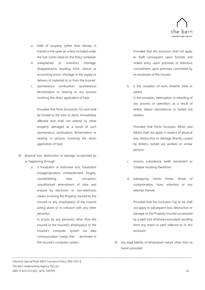

- a. theft of property (other than Money in transit) in the open air unless included under the Sub-Limits listed on the Policy Schedule.
- b. unexplained or inventory shortage, disappearance resulting from clerical or accounting errors, shortage in the supply or delivery of materials to or from the Insured
- c. spontaneous combustion, spontaneous fermentation or heating or any process involving the direct application of heat.

Provided that Perils Exclusions 7(c) and shall be limited to the item or items immediately affected and shall not extend to other property damaged as a result of such spontaneous combustion, fermentation or heating or process involving the direct application of heat.

- 8) physical loss, destruction or damage occasioned by or happening through:
	- a. i) fraudulent or dishonest acts, fraudulent misappropriation, embezzlement, forgery, counterfeiting, data corruption, unauthorised amendment of data and erasure by electronic or non-electronic means involving the Property Insured by the Insured or any employee(s) of the Insured acting alone or in collusion with any other person(s)

ii) access by any person(s) other than the Insured or the Insured's employee(s) to the Insured's computer system via data communication media that terminate in the Insured's computer system.

\_\_\_\_\_\_\_\_\_\_\_\_\_\_\_\_\_\_\_\_\_\_\_\_\_\_\_\_\_\_\_\_\_\_\_\_\_\_\_\_\_\_\_\_\_\_\_\_\_\_\_\_\_\_\_\_\_\_\_\_\_\_\_\_\_\_\_\_\_\_\_\_\_\_\_\_\_\_\_\_\_\_\_\_\_\_\_\_\_\_\_\_\_\_\_\_\_\_\_\_\_\_\_\_\_\_\_\_\_\_\_\_\_\_\_\_\_\_\_\_\_\_\_\_\_\_\_\_\_\_\_\_\_\_\_\_\_\_\_\_\_\_\_\_\_\_\_\_\_\_\_\_\_

Provided that this exclusion shall not apply to theft consequent upon forcible and violent entry upon premises or felonious concealment upon premises committed by an employee of the Insured.

b. I) the cessation of work whether total or partial

ii) the cessation, interruption or retarding of any process or operation, as a result of strikes, labour disturbances or locked out workers.

Provided that Perils Exclusion 8(b)(i) and 8(b)(ii) shall not apply in respect of physical loss, destruction or damage directly caused by strikers, locked out workers or similar persons

- c. erosion, subsidence, earth movement or collapse resulting therefrom
- d. kidnapping, bomb threat, threat of contamination, hoax, extortion or any attempt thereat.

Provided that this Exclusion 7(a) to (d) shall not apply to subsequent loss, destruction or damage to the Property Insured occasioned by a peril (not otherwise excluded) resulting from any event or peril referred to in this exclusion.

9) any legal liability of whatsoever nature other than as herein provided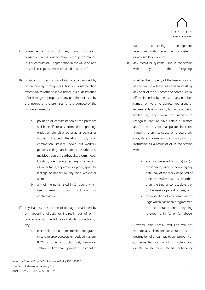

- 10) consequential loss of any kind including consequential loss due to delay, lack of performance, loss of contract or depreciation in the value of land or stock, except as herein provided in Section 2
- 11) physical loss, destruction of damage occasioned by or happening through pollution or contamination except (unless otherwise excluded) loss or destruction of or damage to property or any part thereof used by the Insured at the premises for the purpose of the business caused by:
	- a. pollution or contamination at the premises which itself results from fire, lightning, explosion, aircraft or other aerial devices or articles dropped therefrom, riot, civil commotion, strikers, locked out workers, persons taking part in labour disturbances, malicious person, earthquake, storm, flood, bursting, overflowing discharging or leaking of water tanks, apparatus or pipes, sprinkler leakage or impact by any road vehicle or animal
	- b. any of the perils listed in (a) above which itself results from pollution or contamination.
- 12) physical loss, destruction of damage occasioned by or happening directly or indirectly out of or in connection with the failure or inability to function of any:
	- a. electronic circuit, microchip, integrated circuit, microprocessor, embedded system, BIOS or other instruction set, hardware, software, firmware, program, computer,

\_\_\_\_\_\_\_\_\_\_\_\_\_\_\_\_\_\_\_\_\_\_\_\_\_\_\_\_\_\_\_\_\_\_\_\_\_\_\_\_\_\_\_\_\_\_\_\_\_\_\_\_\_\_\_\_\_\_\_\_\_\_\_\_\_\_\_\_\_\_\_\_\_\_\_\_\_\_\_\_\_\_\_\_\_\_\_\_\_\_\_\_\_\_\_\_\_\_\_\_\_\_\_\_\_\_\_\_\_\_\_\_\_\_\_\_\_\_\_\_\_\_\_\_\_\_\_\_\_\_\_\_\_\_\_\_\_\_\_\_\_\_\_\_\_\_\_\_\_\_\_\_\_

Industrial Special Risks MKIV Insurance Policy ISR4-2021.8 The Barn Underwriting Agency Pty Ltd ABN 15 624 224 642 | AFSL 509709 27

data processing equipment, telecommunication equipment or systems, or any similar device; or

b. any media or systems used in connection with any of the foregoing,

> whether the property of the Insured or not, at any time to achieve fully and successfully any or all of the purposes and consequential effects intended by the use of any number, symbol or word to denote, represent or express a date including, but without being limited to, any failure or inability to recognise, capture, save, retain or restore and/or correctly to manipulate, interpret, transmit, return, calculate or process any date, data, information, command, logic or instruction as a result of or in connection with:

- i. anything referred to in (a) or (b) recognising, using or adopting any date, day of the week or period of time, otherwise than as, or other than, the true or correct date, day of the week or period of time; or
- ii. the operation of any command or logic which has been programmed or incorporated into anything referred to in (a) or (b) above.

However, this special exclusion will not exclude any claim for subsequent loss or destruction of or damage to any property or consequential loss which is solely and directly caused by a Defined Contingency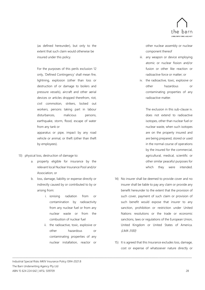

(as defined hereunder), but only to the extent that such claim would otherwise be insured under this policy.

For the purposes of this perils exclusion 12 only, 'Defined Contingency' shall mean fire, lightning, explosion (other than loss or destruction of or damage to boilers and pressure vessels), aircraft and other aerial devices or articles dropped therefrom, riot, civil commotion, strikers, locked out workers, persons taking part in labour disturbances, malicious persons, earthquake, storm, flood, escape of water from any tank or apparatus or pipe, impact by any road

vehicle or animal, or theft (other than theft by employees).

- 13) physical loss, destruction of damage to:
	- a. property eligible for insurance by the relevant local Nuclear Insurance Pool and/or Association; or
	- b. loss, damage, liability or expense directly or indirectly caused by or contributed to by or arising from:
		- i. ionising radiation from or contamination by radioactivity from any nuclear fuel or from any nuclear waste or from the combustion of nuclear fuel
		- ii. the radioactive, toxic, explosive or other hazardous or contaminating properties of any nuclear installation, reactor or

\_\_\_\_\_\_\_\_\_\_\_\_\_\_\_\_\_\_\_\_\_\_\_\_\_\_\_\_\_\_\_\_\_\_\_\_\_\_\_\_\_\_\_\_\_\_\_\_\_\_\_\_\_\_\_\_\_\_\_\_\_\_\_\_\_\_\_\_\_\_\_\_\_\_\_\_\_\_\_\_\_\_\_\_\_\_\_\_\_\_\_\_\_\_\_\_\_\_\_\_\_\_\_\_\_\_\_\_\_\_\_\_\_\_\_\_\_\_\_\_\_\_\_\_\_\_\_\_\_\_\_\_\_\_\_\_\_\_\_\_\_\_\_\_\_\_\_\_\_\_\_\_\_

other nuclear assembly or nuclear component thereof

- iii. any weapon or device employing atomic or nuclear fission and/or fusion or other like reaction or radioactive force or matter; or
- iv. the radioactive, toxic, explosive or other hazardous or contaminating properties of any radioactive matter.

The exclusion in this sub-clause iv. does not extend to radioactive isotopes, other than nuclear fuel or nuclear waste, when such isotopes are on the property insured and are being prepared, stored or used in the normal course of operations by the insured for the commercial, agricultural, medical, scientific or other similar peaceful purposes for which they were intended.

- 14) No insurer shall be deemed to provide cover and no insurer shall be liable to pay any claim or provide any benefit hereunder to the extent that the provision of such cover, payment of such claim or provision of such benefit would expose that insurer to any sanction, prohibition or restriction under United Nations resolutions or the trade or economic sanctions, laws or regulations of the European Union, United Kingdom or United States of America. (LMA 3100)
- 15) It is agreed that this Insurance excludes loss, damage, cost or expense of whatsoever nature directly or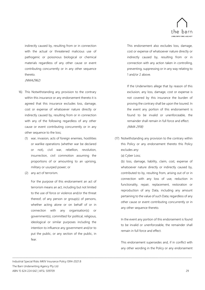

indirectly caused by, resulting from or in connection with the actual or threatened malicious use of pathogenic or poisonous biological or chemical materials regardless of any other cause or event contributing concurrently or in any other sequence thereto.

(NMA2962)

- 16) This Notwithstanding any provision to the contrary within this insurance or any endorsement thereto it is agreed that this insurance excludes loss, damage, cost or expense of whatsoever nature directly or indirectly caused by, resulting from or in connection with any of the following regardless of any other cause or event contributing concurrently or in any other sequence to the loss;
	- (1) war, invasion, acts of foreign enemies, hostilities or warlike operations (whether war be declared or not), civil war, rebellion, revolution, insurrection, civil commotion assuming the proportions of or amounting to an uprising, military or usurped power; or
	- (2) any act of terrorism.

For the purpose of this endorsement an act of terrorism means an act, including but not limited to the use of force or violence and/or the threat thereof, of any person or group(s) of persons, whether acting alone or on behalf of or in connection with any organisation(s) or government(s), committed for political, religious, ideological or similar purposes including the intention to influence any government and/or to put the public, or any section of the public, in fear.

\_\_\_\_\_\_\_\_\_\_\_\_\_\_\_\_\_\_\_\_\_\_\_\_\_\_\_\_\_\_\_\_\_\_\_\_\_\_\_\_\_\_\_\_\_\_\_\_\_\_\_\_\_\_\_\_\_\_\_\_\_\_\_\_\_\_\_\_\_\_\_\_\_\_\_\_\_\_\_\_\_\_\_\_\_\_\_\_\_\_\_\_\_\_\_\_\_\_\_\_\_\_\_\_\_\_\_\_\_\_\_\_\_\_\_\_\_\_\_\_\_\_\_\_\_\_\_\_\_\_\_\_\_\_\_\_\_\_\_\_\_\_\_\_\_\_\_\_\_\_\_\_\_

This endorsement also excludes loss, damage, cost or expense of whatsoever nature directly or indirectly caused by, resulting from or in connection with any action taken in controlling, preventing, suppressing or in any way relating to 1 and/or 2 above.

If the Underwriters allege that by reason of this exclusion, any loss, damage, cost or expense is not covered by this insurance the burden of proving the contrary shall be upon the Issured. In the event any portion of this endorsement is found to be invalid or unenforceable, the remainder shall remain in full force and effect. (NMA 2918)

- (17) Notwithstanding any provision to the contrary within this Policy or any endorsement thereto this Policy excludes any:
	- (a) Cyber Loss;

(b) loss, damage, liability, claim, cost, expense of whatsoever nature directly or indirectly caused by, contributed to by, resulting from, arising out of or in connection with any loss of use, reduction in functionality, repair, replacement, restoration or reproduction of any Data, including any amount pertaining to the value of such Data; regardless of any other cause or event contributing concurrently or in any other sequence thereto.

In the event any portion of this endorsement is found to be invalid or unenforceable, the remainder shall remain in full force and effect.

This endorsement supersedes and, if in conflict with any other wording in the Policy or any endorsement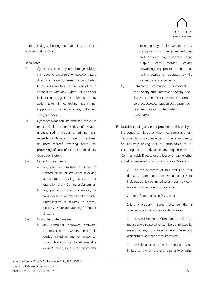

thereto having a bearing on Cyber Loss or Data, replaces that wording.

#### Definitions:

- (i) Cyber Loss means any loss, damage, liability, claim, cost or expense of whatsoever nature directly or indirectly caused by, contributed to by, resulting from, arising out of or in connection with any Cyber Act or Cyber Incident including, but not limited to, any action taken in controlling, preventing, suppressing or remediating any Cyber Act or Cyber Incident.
- (ii) Cyber Act means an unauthorised, malicious or criminal act or series of related unauthorised, malicious or criminal acts, regardless of time and place, or the threat or hoax thereof involving access to, processing of, use of or operation of any Computer System.
- (iii) Cyber Incident means:
	- a. any error or omission or series of related errors or omissions involving access to, processing of, use of or operation of any Computer System; or
	- b. any partial or total unavailability or failure or series of related partial or total unavailability or failures to access, process, use or operate any Computer System.
- (iv) Computer System means:
	- a. any computer, hardware, software, communications system, electronic device (including, but not limited to, smart phone, laptop, tablet, wearable device), server, cloud or microcontroller

\_\_\_\_\_\_\_\_\_\_\_\_\_\_\_\_\_\_\_\_\_\_\_\_\_\_\_\_\_\_\_\_\_\_\_\_\_\_\_\_\_\_\_\_\_\_\_\_\_\_\_\_\_\_\_\_\_\_\_\_\_\_\_\_\_\_\_\_\_\_\_\_\_\_\_\_\_\_\_\_\_\_\_\_\_\_\_\_\_\_\_\_\_\_\_\_\_\_\_\_\_\_\_\_\_\_\_\_\_\_\_\_\_\_\_\_\_\_\_\_\_\_\_\_\_\_\_\_\_\_\_\_\_\_\_\_\_\_\_\_\_\_\_\_\_\_\_\_\_\_\_\_\_

including any similar system or any configuration of the aforementioned and including any associated input, output, data storage device, networking equipment or back up facility, owned or operated by the Insured or any other party.

- (v) Data means information, facts, concepts, code or any other information of any kind that is recorded or transmitted in a form to be used, accessed, processed, transmitted or stored by a Computer System. (LMA 5401)
- (18) Notwithstanding any other provision of this policy to the contrary, this policy does not insure any loss, damage, claim, cost, expense or other sum, directly or indirectly arising out of, attributable to, or occurring concurrently or in any sequence with a Communicable Disease or the fear or threat (whether actual or perceived) of a Communicable Disease.

2. For the purposes of this exclusion, loss, damage, claim, cost, expense or other sum, includes, but is not limited to, any cost to cleanup, detoxify, remove, monitor or test:

2.1. for a Communicable Disease, or

2.2. any property insured hereunder that is affected by such Communicable Disease.

3. As used herein, a Communicable Disease means any disease which can be transmitted by means of any substance or agent from any organism to another organism where:

3.1. the substance or agent includes, but is not limited to, a virus, bacterium, parasite or other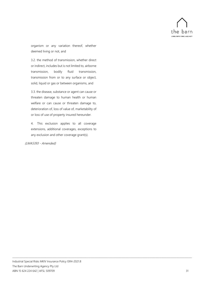

organism or any variation thereof, whether deemed living or not, and

3.2. the method of transmission, whether direct or indirect, includes but is not limited to, airborne transmission, bodily fluid transmission, transmission from or to any surface or object, solid, liquid or gas or between organisms, and

3.3. the disease, substance or agent can cause or threaten damage to human health or human welfare or can cause or threaten damage to, deterioration of, loss of value of, marketability of or loss of use of property insured hereunder.

4. This exclusion applies to all coverage extensions, additional coverages, exceptions to any exclusion and other coverage grant(s).

#### (LMA5393 - Amended)

\_\_\_\_\_\_\_\_\_\_\_\_\_\_\_\_\_\_\_\_\_\_\_\_\_\_\_\_\_\_\_\_\_\_\_\_\_\_\_\_\_\_\_\_\_\_\_\_\_\_\_\_\_\_\_\_\_\_\_\_\_\_\_\_\_\_\_\_\_\_\_\_\_\_\_\_\_\_\_\_\_\_\_\_\_\_\_\_\_\_\_\_\_\_\_\_\_\_\_\_\_\_\_\_\_\_\_\_\_\_\_\_\_\_\_\_\_\_\_\_\_\_\_\_\_\_\_\_\_\_\_\_\_\_\_\_\_\_\_\_\_\_\_\_\_\_\_\_\_\_\_\_\_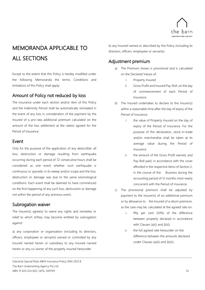

# <span id="page-32-0"></span>MEMORANDA APPLICABLE TO ALL SECTIONS

Except to the extent that this Policy is hereby modified under the following Memoranda the terms, Conditions and limitations of this Policy shall apply:

## <span id="page-32-1"></span>Amount of Policy not reduced by loss

The insurance under each section and/or item of this Policy and the Indemnity Period shall be automatically reinstated in the event of any loss in consideration of the payment by the Insured of a pro-rata additional premium calculated on the amount of the loss settlement at the rate(s) agreed for the Period of Insurance.

## <span id="page-32-2"></span>Event

Only for the purpose of the application of any deductible: all loss, destruction or damage resulting from earthquake occurring during each period of 72 consecutive hours shall be considered as one event whether such earthquake is continuous or sporadic in its sweep and/or scope and the loss, destruction or damage was due to the same seismological conditions. Each event shall be deemed to have commenced on the first happening of any such loss, destruction or damage not within the period of any previous event.

## <span id="page-32-3"></span>Subrogation waiver

The Insurer(s) agree(s) to waive any rights and remedies or relief to which it/they may become entitled by subrogation against:

a) any corporation or organisation (including its directors, officers, employees or servants) owned or controlled by any Insured named herein or subsidiary to any Insured named herein or any co-owner of the property insured hereunder

\_\_\_\_\_\_\_\_\_\_\_\_\_\_\_\_\_\_\_\_\_\_\_\_\_\_\_\_\_\_\_\_\_\_\_\_\_\_\_\_\_\_\_\_\_\_\_\_\_\_\_\_\_\_\_\_\_\_\_\_\_\_\_\_\_\_\_\_\_\_\_\_\_\_\_\_\_\_\_\_\_\_\_\_\_\_\_\_\_\_\_\_\_\_\_\_\_\_\_\_\_\_\_\_\_\_\_\_\_\_\_\_\_\_\_\_\_\_\_\_\_\_\_\_\_\_\_\_\_\_\_\_\_\_\_\_\_\_\_\_\_\_\_\_\_\_\_\_\_\_\_\_\_

b) any Insured named or described by this Policy (including its directors, officers, employees or servants).

## <span id="page-32-4"></span>Adjustment premium

- a) The Premium shown is provisional and is calculated on the Declared Values of:
	- i. Property Insured
	- ii. Gross Profit and Insured Pay-Roll, on the day of commencement of each Period of Insurance.
- b) The Insured undertakes to declare to the Insurer(s) within a reasonable time after the day of expiry of the Period of Insurance:
	- i. the value of Property Insured on the day of expiry of the Period of Insurance. For the purpose of this declaration, stock-in-trade and/or merchandise shall be taken at its average value during the Period of Insurance
	- ii. the amount of the Gross Profit earned, and Pay-Roll paid, in accordance with the cover afforded in the respective items of Section 2, in the course of the Business during the accounting period of 12 months most nearly concurrent with the Period of Insurance.
- c) The provisional premium shall be adjusted by payment to the Insurer(s) of an additional premium or by allowance to the Insured of a return premium, as the case may be, calculated at the agreed rate on:
	- i. fifty per cent (50%) of the difference between property declared in accordance with Clauses (a)(i) and (b)(i)
	- ii. the full agreed rate hereunder on the difference between the amounts declared under Clauses (a)(ii) and (b)(ii).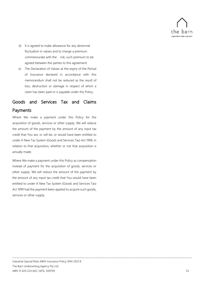

- d) It is agreed to make allowance for any abnormal fluctuation in values and to charge a premium commensurate with the risk; such premium to be agreed between the parties to this agreement.
- e) The Declaration of Values at the expiry of the Period of Insurance declared in accordance with this memorandum shall not be reduced as the result of loss, destruction or damage in respect of which a claim has been paid or is payable under this Policy.

## <span id="page-33-0"></span>Goods and Services Tax and Claims Payments

Where We make a payment under this Policy for the acquisition of goods, services or other supply, We will reduce the amount of the payment by the amount of any input tax credit that You are, or will be, or would have been entitled to under A New Tax System (Goods and Services Tax) Act 1999, in relation to that acquisition, whether or not that acquisition is actually made.

Where We make a payment under this Policy as compensation instead of payment for the acquisition of goods, services or other supply, We will reduce the amount of the payment by the amount of any input tax credit that You would have been entitled to under A New Tax System (Goods and Services Tax) Act 1999 had the payment been applied to acquire such goods, services or other supply.

\_\_\_\_\_\_\_\_\_\_\_\_\_\_\_\_\_\_\_\_\_\_\_\_\_\_\_\_\_\_\_\_\_\_\_\_\_\_\_\_\_\_\_\_\_\_\_\_\_\_\_\_\_\_\_\_\_\_\_\_\_\_\_\_\_\_\_\_\_\_\_\_\_\_\_\_\_\_\_\_\_\_\_\_\_\_\_\_\_\_\_\_\_\_\_\_\_\_\_\_\_\_\_\_\_\_\_\_\_\_\_\_\_\_\_\_\_\_\_\_\_\_\_\_\_\_\_\_\_\_\_\_\_\_\_\_\_\_\_\_\_\_\_\_\_\_\_\_\_\_\_\_\_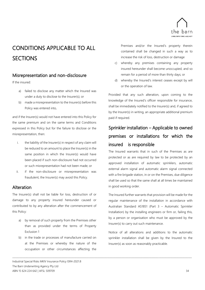

# <span id="page-34-0"></span>CONDITIONS APPLICABLE TO ALL **SECTIONS**

## <span id="page-34-1"></span>Misrepresentation and non-disclosure

If the insured:

- a) failed to disclose any matter which the Insured was under a duty to disclose to the Insurer(s); or
- b) made a misrepresentation to the Insurer(s) before this Policy was entered into,

and if the Insurer(s) would not have entered into this Policy for the same premium and on the same terms and Conditions expressed in this Policy but for the failure to disclose or the misrepresentation, then:

- i. the liability of the Insurer(s) in respect of any claim will be reduced to an amount to place the Insurer(s) in the same position in which the Insurer(s) would have been placed if such non-disclosure had not occurred or such misrepresentation had not been made; or
- ii. if the non-disclosure or misrepresentation was fraudulent, the Insurer(s) may avoid this Policy.

## <span id="page-34-2"></span>Alteration

The Insurer(s) shall not be liable for loss, destruction of or damage to any property insured hereunder caused or contributed to by any alteration after the commencement of this Policy:

- a) by removal of such property from the Premises other than as provided under the terms of Property Exclusion 1
- b) in the trade or processes of manufacture carried on at the Premises or whereby the nature of the occupation or other circumstances affecting the

\_\_\_\_\_\_\_\_\_\_\_\_\_\_\_\_\_\_\_\_\_\_\_\_\_\_\_\_\_\_\_\_\_\_\_\_\_\_\_\_\_\_\_\_\_\_\_\_\_\_\_\_\_\_\_\_\_\_\_\_\_\_\_\_\_\_\_\_\_\_\_\_\_\_\_\_\_\_\_\_\_\_\_\_\_\_\_\_\_\_\_\_\_\_\_\_\_\_\_\_\_\_\_\_\_\_\_\_\_\_\_\_\_\_\_\_\_\_\_\_\_\_\_\_\_\_\_\_\_\_\_\_\_\_\_\_\_\_\_\_\_\_\_\_\_\_\_\_\_\_\_\_\_

Industrial Special Risks MKIV Insurance Policy ISR4-2021.8 The Barn Underwriting Agency Pty Ltd ABN 15 624 224 642 | AFSL 509709 34

Premises and/or the Insured's property therein contained shall be changed in such a way as to increase the risk of loss, destruction or damage

- c) whereby any premises containing any property insured hereunder shall become unoccupied, and so remain for a period of more than thirty days; or
- d) whereby the Insured's interest ceases except by will or the operation of law.

Provided that any such alteration, upon coming to the knowledge of the Insured's officer responsible for insurance, shall be immediately notified to the Insurer(s) and, if agreed to by the Insurer(s) in writing, an appropriate additional premium paid if required.

## <span id="page-34-3"></span>Sprinkler installation – Applicable to owned premises or installations for which the insured is responsible

The Insured warrants that in such of the Premises as are protected or as are required by law to be protected by an approved installation of automatic sprinklers, automatic external alarm signal and automatic alarm signal connected with a fire brigade station, in or on the Premises, due diligence shall be used so that the same shall at all times be maintained in good working order.

The Insured further warrants that provision will be made for the regular maintenance of the installation in accordance with Australian Standard AS1851 (Part 3 – Automatic Sprinkler Installation) by the installing engineers or firm or, failing this, by a person or organisation who must be approved by the Insurer(s) to carry out such maintenance.

Notice of all alterations and additions to the automatic sprinkler installation shall be given by the Insured to the Insurer(s) as soon as reasonably practicable.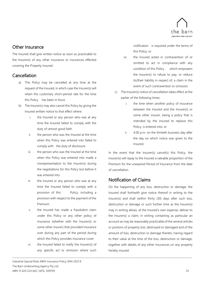

## <span id="page-35-0"></span>Other Insurance

The Insured shall give written notice as soon as practicable to the Insurer(s) of any other insurance or insurances effected covering the Property Insured.

## <span id="page-35-1"></span>Cancellation

- a) This Policy may be cancelled at any time at the request of the Insured, in which case the Insurer(s) will retain the customary short-period rate for the time this Policy has been in force.
- b) The Insurer(s) may also cancel this Policy by giving the Insured written notice to that effect where:
	- i. the Insured or any person who was at any time the Insured failed to comply with the duty of utmost good faith
	- ii. the person who was the Insured at the time when this Policy was entered into failed to comply with the duty of disclosure
	- iii. the person who was the Insured at the time when this Policy was entered into made a misrepresentation to the Insurer(s) during the negotiations for this Policy but before it was entered into
	- iv. the Insured or any person who was at any time the Insured failed to comply with a provision of this Policy, including a provision with respect to the payment of the Premium
	- v. the Insured has made a fraudulent claim under this Policy or any other policy of insurance (whether with the Insurer(s) or some other insurer) that provided insurance over during any part of the period during which this Policy provides insurance cover
	- vi. the Insured failed to notify the Insurer(s) of any specific act or omission where such

\_\_\_\_\_\_\_\_\_\_\_\_\_\_\_\_\_\_\_\_\_\_\_\_\_\_\_\_\_\_\_\_\_\_\_\_\_\_\_\_\_\_\_\_\_\_\_\_\_\_\_\_\_\_\_\_\_\_\_\_\_\_\_\_\_\_\_\_\_\_\_\_\_\_\_\_\_\_\_\_\_\_\_\_\_\_\_\_\_\_\_\_\_\_\_\_\_\_\_\_\_\_\_\_\_\_\_\_\_\_\_\_\_\_\_\_\_\_\_\_\_\_\_\_\_\_\_\_\_\_\_\_\_\_\_\_\_\_\_\_\_\_\_\_\_\_\_\_\_\_\_\_\_

notification is required under the terms of this Policy; or

- vii. the Insured acted in contravention of or omitted to act in compliance with any condition of this Policy which empowers the Insurer(s) to refuse to pay, or reduce its/their liability in respect of, a claim in the event of such contravention or omission.
- c) The Insurer(s) notice of cancellation takes effect at the earlier of the following times:
	- i. the time when another policy of insurance between the Insured and the Insurer(s) or some other insurer, being a policy that is intended by the Insured to replace this Policy, is entered into; or
	- ii. 4.00 p.m. on the thirtieth business day after the day on which notice was given to the Insured.

In the event that the Insurer(s) cancel(s) this Policy, the Insurer(s) will repay to the Insured a rateable proportion of the Premium for the unexpired Period of Insurance from the date of cancellation.

## <span id="page-35-2"></span>Notification of Claims

On the happening of any loss, destruction or damage, the Insured shall forthwith give notice thereof in writing to the Insurer(s) and shall (within thirty (30) days after such loss, destruction or damage or such further time as the Insurer(s) may in writing allow), at the Insured's own expense, deliver to the Insurer(s) a claim, in writing containing as particular an account as may be reasonably practicable of the several articles or portions of property lost, destroyed or damaged and of the amount of loss, destruction or damage thereto, having regard to their value at the time of the loss, destruction or damage, together with details of any other insurances on any property hereby insured.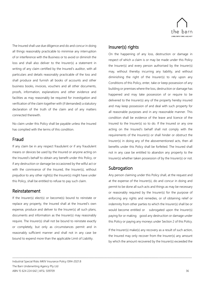

The Insured shall use due diligence and do and concur in doing all things reasonably practicable to minimise any interruption of or interference with the Business or to avoid or diminish the loss and shall also deliver to the Insurer(s) a statement in writing of any claim certified by the Insured's auditor, with all particulars and details reasonably practicable of the loss and shall produce and furnish all books of accounts and other business books, invoices, vouchers and all other documents, proofs, information, explanations and other evidence and facilities as may reasonably be required for investigation and verification of the claim together with (if demanded) a statutory declaration of the truth of the claim and of any matters connected therewith.

No claim under this Policy shall be payable unless the Insured has complied with the terms of this condition.

## <span id="page-36-0"></span>Fraud

If any claim be in any respect fraudulent or if any fraudulent means or devices be used by the Insured or anyone acting on the Insured's behalf to obtain any benefit under this Policy, or if any destruction or damage be occasioned by the wilful act or with the connivance of the Insured, the Insurer(s), without prejudice to any other right(s) the Insurer(s) might have under this Policy, shall be entitled to refuse to pay such claim.

## <span id="page-36-1"></span>Reinstatement

If the Insurer(s) elect(s) or become(s) bound to reinstate or replace any property, the Insured shall at the Insured's own expense, produce and deliver to the Insurer(s) all such plans, documents and information as the Insurer(s) may reasonably require. The Insurer(s) shall not be bound to reinstate exactly or completely, but only as circumstances permit and in reasonably sufficient manner and shall not in any case be bound to expend more than the applicable Limit of Liability.

## <span id="page-36-2"></span>Insurer(s) rights

On the happening of any loss, destruction or damage in respect of which a claim is or may be made under this Policy the Insurer(s) and every person authorised by the Insurer(s) may, without thereby incurring any liability, and without diminishing the right of the Insurer(s) to rely upon any Conditions of this Policy, enter, take or keep possession of any building or premises where the loss, destruction or damage has happened and may take possession of or require to be delivered to the Insurer(s) any of the property hereby insured and may keep possession of and deal with such property for all reasonable purposes and in any reasonable manner. This condition shall be evidence of the leave and licence of the Insured to the Insurer(s) so to do. If the Insured or any one acting on the Insured's behalf shall not comply with the requirements of the Insurer(s) or shall hinder or obstruct the Insurer(s) in doing any of the abovementioned acts, then all benefits under this Policy shall be forfeited. The Insured shall not in any case be entitled to abandon any property to the Insurer(s) whether taken possession of by the Insurer(s) or not.

## <span id="page-36-3"></span>Subrogation

\_\_\_\_\_\_\_\_\_\_\_\_\_\_\_\_\_\_\_\_\_\_\_\_\_\_\_\_\_\_\_\_\_\_\_\_\_\_\_\_\_\_\_\_\_\_\_\_\_\_\_\_\_\_\_\_\_\_\_\_\_\_\_\_\_\_\_\_\_\_\_\_\_\_\_\_\_\_\_\_\_\_\_\_\_\_\_\_\_\_\_\_\_\_\_\_\_\_\_\_\_\_\_\_\_\_\_\_\_\_\_\_\_\_\_\_\_\_\_\_\_\_\_\_\_\_\_\_\_\_\_\_\_\_\_\_\_\_\_\_\_\_\_\_\_\_\_\_\_\_\_\_\_

Any person claiming under this Policy shall, at the request and at the expense of the Insurer(s), do and concur in doing and permit to be done all such acts and things as may be necessary or reasonably required by the Insurer(s) for the purpose of enforcing any rights and remedies, or of obtaining relief or indemnity from other parties to which the Insurer(s) shall be or would become entitled or subrogated upon the Insurer(s) paying for or making good any destruction or damage under this Policy or paying any moneys under Section 2 of this Policy.

If the Insurer(s) make(s) any recovery as a result of such action, the Insured may only recover from the Insurer(s) any amount by which the amount recovered by the Insurer(s) exceeded the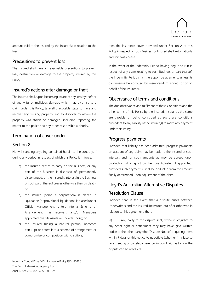

amount paid to the Insured by the Insurer(s) in relation to the loss.

## <span id="page-37-0"></span>Precautions to prevent loss

The Insured shall take all reasonable precautions to prevent loss, destruction or damage to the property insured by this Policy.

## <span id="page-37-1"></span>Insured's actions after damage or theft

The Insured shall, upon becoming aware of any loss by theft or of any wilful or malicious damage which may give rise to a claim under this Policy, take all practicable steps to trace and recover any missing property and to discover by whom the property was stolen or damaged, including reporting the matter to the police and any other responsible authority.

## <span id="page-37-2"></span>Termination of cover under

## <span id="page-37-3"></span>Section 2

Notwithstanding anything contained herein to the contrary, if during any period in respect of which this Policy is in force:

- a) the Insured ceases to carry on the Business, or any part of the Business is disposed of, permanently discontinued, or the Insured's interest in the Business or such part thereof ceases otherwise than by death; or
- b) the Insured (being a corporation) is placed in liquidation (or provisional liquidation), is placed under Official Management, enters into a Scheme of Arrangement, has receivers and/or Managers appointed over its assets or undertaking(s); or
- c) the Insured (being a natural person) becomes bankrupt or enters into a scheme of arrangement or compromise or composition with creditors,

then the insurance cover provided under Section 2 of this Policy in respect of such Business or Insured shall automatically and forthwith cease.

In the event of the Indemnity Period having begun to run in respect of any claim relating to such Business or part thereof, the Indemnity Period shall thereupon be at an end, unless its continuance be admitted by memorandum signed for or on behalf of the Insurer(s).

## <span id="page-37-4"></span>Observance of terms and conditions

The due observance and fulfilment of these Conditions and the other terms of this Policy by the Insured, insofar as the same are capable of being construed as such, are conditions precedent to any liability of the Insurer(s) to make any payment under this Policy.

## <span id="page-37-5"></span>Progress payments

\_\_\_\_\_\_\_\_\_\_\_\_\_\_\_\_\_\_\_\_\_\_\_\_\_\_\_\_\_\_\_\_\_\_\_\_\_\_\_\_\_\_\_\_\_\_\_\_\_\_\_\_\_\_\_\_\_\_\_\_\_\_\_\_\_\_\_\_\_\_\_\_\_\_\_\_\_\_\_\_\_\_\_\_\_\_\_\_\_\_\_\_\_\_\_\_\_\_\_\_\_\_\_\_\_\_\_\_\_\_\_\_\_\_\_\_\_\_\_\_\_\_\_\_\_\_\_\_\_\_\_\_\_\_\_\_\_\_\_\_\_\_\_\_\_\_\_\_\_\_\_\_\_

Provided that liability has been admitted, progress payments on account of any claim may be made to the Insured at such intervals and for such amounts as may be agreed upon production of a report by the Loss Adjuster (if appointed) provided such payment(s) shall be deducted from the amount finally determined upon adjustment of the claim.

## <span id="page-37-6"></span>Lloyd's Australian Alternative Disputes Resolution Clause

Provided that In the event that a dispute arises between Underwriters and the Insured/Reinsured out of or otherwise in relation to this agreement, then:

(a) Any party to the dispute shall, without prejudice to any other right or entitlement they may have, give written notice to the other party (the "Dispute Notice") requiring them within 7 days of this notice to negotiate (whether in a face to face meeting or by teleconference) in good faith as to how the dispute can be resolved;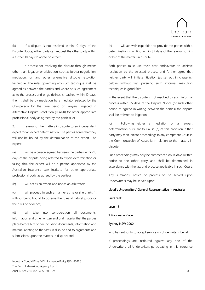

(b) If a dispute is not resolved within 10 days of the Dispute Notice, either party can request the other party within a further 10 days to agree on either:

1. a process for resolving the dispute through means other than litigation or arbitration, such as further negotiation, mediation, or any other alternative dispute resolution technique. The rules governing any such technique shall be agreed as between the parties and where no such agreement as to the process and or guidelines is reached within 10 days, then it shall be by mediation by a mediator selected by the Chairperson for the time being of Lawyers Engaged in Alternative Dispute Resolution (LEADR) (or other appropriate professional body as agreed by the parties); or

2. referral of the matters in dispute to an independent expert for an expert determination. The parties agree that they will not be bound by the determination of the expert. The expert:

(a) will be a person agreed between the parties within 10 days of the dispute being referred to expert determination or failing this, the expert will be a person appointed by the Australian Insurance Law Institute (or other appropriate professional body as agreed by the parties);

(b) will act as an expert and not as an arbitrator;

(c) will proceed in such a manner as he or she thinks fit without being bound to observe the rules of natural justice or the rules of evidence;

(d) will take into consideration all documents, information and other written and oral material that the parties place before him or her including documents, information and material relating to the facts in dispute and to arguments and submissions upon the matters in dispute; and

(e) will act with expedition to provide the parties with a determination in writing within 35 days of the referral to him or her of the matters in dispute.

Both parties must use their best endeavours to achieve resolution by the selected process and further agree that neither party will initiate litigation (as set out in clause (c) below) without first pursuing such informal resolution techniques in good faith;

In the event that the dispute is not resolved by such informal process within 35 days of the Dispute Notice (or such other period as agreed in writing between the parties) the dispute shall be referred to litigation.

(c) Following either a mediation or an expert determination pursuant to clause (b) of this provision, either party may then initiate proceedings in any competent Court in the Commonwealth of Australia in relation to the matters in dispute.

Such proceedings may only be commenced on 14 days written notice to the other party and shall be determined in accordance with the law and practice applicable in such Court.

Any summons, notice or process to be served upon Underwriters may be served upon:

#### Lloyd's Underwriters' General Representative in Australia

#### Suite 1603

Level 16

\_\_\_\_\_\_\_\_\_\_\_\_\_\_\_\_\_\_\_\_\_\_\_\_\_\_\_\_\_\_\_\_\_\_\_\_\_\_\_\_\_\_\_\_\_\_\_\_\_\_\_\_\_\_\_\_\_\_\_\_\_\_\_\_\_\_\_\_\_\_\_\_\_\_\_\_\_\_\_\_\_\_\_\_\_\_\_\_\_\_\_\_\_\_\_\_\_\_\_\_\_\_\_\_\_\_\_\_\_\_\_\_\_\_\_\_\_\_\_\_\_\_\_\_\_\_\_\_\_\_\_\_\_\_\_\_\_\_\_\_\_\_\_\_\_\_\_\_\_\_\_\_\_

#### 1 Macquarie Place

#### Sydney NSW 2000

who has authority to accept service on Underwriters' behalf.

If proceedings are instituted against any one of the Underwriters, all Underwriters participating in this insurance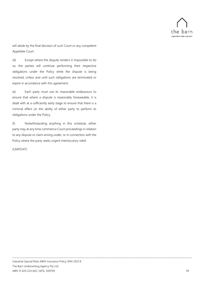

will abide by the final decision of such Court or any competent Appellate Court.

(d) Except where the dispute renders it impossible to do so, the parties will continue performing their respective obligations under the Policy while the dispute is being resolved, unless and until such obligations are terminated or expire in accordance with this agreement.

(e) Each party must use its reasonable endeavours to ensure that where a dispute is reasonably foreseeable, it is dealt with at a sufficiently early stage to ensure that there is a minimal effect on the ability of either party to perform its obligations under the Policy.

(f) Notwithstanding anything in this schedule, either party may at any time commence Court proceedings in relation to any dispute or claim arising under, or in connection with the Policy where the party seeks urgent interlocutory relief.

#### (LMA5547)

\_\_\_\_\_\_\_\_\_\_\_\_\_\_\_\_\_\_\_\_\_\_\_\_\_\_\_\_\_\_\_\_\_\_\_\_\_\_\_\_\_\_\_\_\_\_\_\_\_\_\_\_\_\_\_\_\_\_\_\_\_\_\_\_\_\_\_\_\_\_\_\_\_\_\_\_\_\_\_\_\_\_\_\_\_\_\_\_\_\_\_\_\_\_\_\_\_\_\_\_\_\_\_\_\_\_\_\_\_\_\_\_\_\_\_\_\_\_\_\_\_\_\_\_\_\_\_\_\_\_\_\_\_\_\_\_\_\_\_\_\_\_\_\_\_\_\_\_\_\_\_\_\_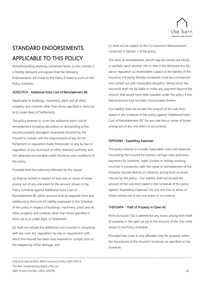

# <span id="page-40-0"></span>STANDARD ENDORSEMENTS APPLICABLE TO THIS POLICY

Notwithstanding anything contained herein to the contrary it is hereby declared and agreed that the following Endorsements are made to the Policy if listed as such on the Policy Schedule:

#### ADDECPC4 - Additional Extra Cost of Reinstatement (B)

(Applicable to buildings, machinery, plant and all other property and contents other than those specified in items (b) to (i) under Basis of Settlement).

The policy extends to cover the additional extra cost of reinstatement including demolition or dismantling of the insured property damaged, necessarily incurred by the Insured to comply with the requirements of any Act of Parliament or regulation made thereunder or any by-law or regulation of any municipal or other statutory authority and not otherwise recoverable under the terms and conditions of the policy.

Provided that the indemnity afforded by this clause:

(a) shall be limited in respect of each loss or series of losses arising out of any one event to the amount shown in the Policy Schedule against Additional Extra Cost of Reinstatement (B), which amount shall be separate from and additional to the Limit of Liability expressed in the Schedule of the policy in respect of buildings, machinery, plant and all other property and contents other than those specified in items (b) to (i) under Basis of Settlement;

(b) shall not include the additional cost incurred in complying with any such Act, regulation, by-law or requirement with which the Insured has been duly required to comply prior to the happening of the damage; and

(c) shall not be subject to the Co-insurance Memorandum contained in Section 1 of the policy.

The work of reinstatement (which may be carried out wholly or partially upon another site or sites if the aforesaid Act, bylaw or regulation so necessitates subject to the liability of the Insurer(s) not being thereby increased) must be commenced and carried out with reasonable despatch, failing which the Insurer(s) shall not be liable to make any payment beyond the amount that would have been payable under the policy if this Memorandum had not been incorporated therein.

Our liability shall not exceed the amount of the sub-limit stated in the Schedule of the policy against "Additional Extra Cost of Reinstatement (B)" for any one loss or series of losses arising out of any one event or occurrence.

#### EXPEDXB4 - Expediting Expenses

The policy extends to include reasonable costs and expenses incurred by the Insured for express carriage rates and extra payments for overtime, night, Sunday or holiday working incurred in connection with the repair or reinstatement of the Property Insured directly or indirectly arising from an event insured by the policy. . Our liability shall not exceed the amount of the sub-limit stated in the Schedule of the policy against "Expediting Expenses" for any one loss or series of losses arising out of any one event or occurrence.

#### THEFOAP4 - Theft of Property in Open Air

\_\_\_\_\_\_\_\_\_\_\_\_\_\_\_\_\_\_\_\_\_\_\_\_\_\_\_\_\_\_\_\_\_\_\_\_\_\_\_\_\_\_\_\_\_\_\_\_\_\_\_\_\_\_\_\_\_\_\_\_\_\_\_\_\_\_\_\_\_\_\_\_\_\_\_\_\_\_\_\_\_\_\_\_\_\_\_\_\_\_\_\_\_\_\_\_\_\_\_\_\_\_\_\_\_\_\_\_\_\_\_\_\_\_\_\_\_\_\_\_\_\_\_\_\_\_\_\_\_\_\_\_\_\_\_\_\_\_\_\_\_\_\_\_\_\_\_\_\_\_\_\_\_

Perils Exclusion 7(a) is deleted for any losses arising from theft of property in the open air up to the amount of the Sub-Limit shown in the Policy Schedule.

Provided that cover is only afforded only for property within the boundaries of the Insured's locations, as specified on the Schedule.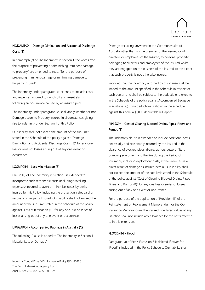

## NODAMPC4 - Damage Diminution and Accidental Discharge Costs (B)

In paragraph (c) of The Indemnity in Section 1, the words "for the purpose of preventing or diminishing imminent damage to property" are amended to read: "for the purpose of preventing imminent damage or minimising damage to Property Insured".

The indemnity under paragraph (c) extends to include costs and expenses incurred to switch off and re-set alarms following an occurrence caused by an insured peril.

The indemnity under paragraph (c) shall apply whether or not Damage occurs to Property Insured in circumstances giving rise to indemnity under Section 1 of this Policy.

Our liability shall not exceed the amount of the sub-limit stated in the Schedule of the policy against "Damage Diminution and Accidental Discharge Costs (B)" for any one loss or series of losses arising out of any one event or occurrence.

#### LOSMPCB4 - Loss Minimisation (B)

Clause (c) of The Indemnity in Section 1 is extended to incorporate such reasonable costs (including travelling expenses) incurred to avert or minimise losses by perils insured by this Policy, including the protection, safeguard or recovery of Property Insured. Our liability shall not exceed the amount of the sub-limit stated in the Schedule of the policy against "Loss Minimisation (B)" for any one loss or series of losses arising out of any one event or occurrence.

#### LUGGAPC4 - Accompanied Baggage in Australia (C)

The following Clause is added to The Indemnity in Section 1 - Material Loss or Damage':

Damage occurring anywhere in the Commonwealth of Australia other than on the premises of the Insured or of directors or employees of the Insured, to personal property belonging to directors and employees of the Insured whilst they are engaged on the business of the Insured to the extent that such property is not otherwise insured.

Provided that the indemnity afforded by this clause shall be limited to the amount specified in the Schedule in respect of each person and shall be subject to the deductible referred to in the Schedule of the policy against Accompanied Baggage in Australia (C). If no deductible is shown in the schedule against this item, a \$1,000 deductible will apply.

## PIPESXP4 - Cost of Clearing Blocked Drains, Pipes, Filters and Pumps (B)

The Indemnity clause is extended to include additional costs necessarily and reasonably incurred by the Insured in the clearance of blocked pipes, drains, gutters, sewers, filters, pumping equipment and the like during the Period of Insurance, including exploratory costs, at the Premises as a direct result of damage as insured herein. Our liability shall not exceed the amount of the sub-limit stated in the Schedule of the policy against "Cost of Cleaning Blocked Drains, Pipes, Filters and Pumps (B)" for any one loss or series of losses arising out of any one event or occurrence.

For the purpose of the application of Provision (iii) of the Reinstatement or Replacement Memorandum or the Co-Insurance Memorandum, the Insured's declared values at any Situation shall not include any allowance for the costs referred to in this extension.

#### FLOODXB4 - Flood

\_\_\_\_\_\_\_\_\_\_\_\_\_\_\_\_\_\_\_\_\_\_\_\_\_\_\_\_\_\_\_\_\_\_\_\_\_\_\_\_\_\_\_\_\_\_\_\_\_\_\_\_\_\_\_\_\_\_\_\_\_\_\_\_\_\_\_\_\_\_\_\_\_\_\_\_\_\_\_\_\_\_\_\_\_\_\_\_\_\_\_\_\_\_\_\_\_\_\_\_\_\_\_\_\_\_\_\_\_\_\_\_\_\_\_\_\_\_\_\_\_\_\_\_\_\_\_\_\_\_\_\_\_\_\_\_\_\_\_\_\_\_\_\_\_\_\_\_\_\_\_\_\_

Paragraph (a) of Perils Exclusion 3 is deleted if cover for 'Flood' is included in the Policy Schedule. Our liability shall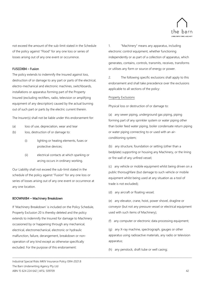

not exceed the amount of the sub-limit stated in the Schedule of the policy against "Flood" for any one loss or series of losses arising out of any one event or occurrence.

#### FUSEDXB4 – Fusion

The policy extends to indemnify the Insured against loss, destruction of or damage to any part or parts of the electrical, electro-mechanical and electronic machines, switchboards, installations or apparatus forming part of the Property Insured (excluding rectifiers, radio, television or amplifying equipment of any description) caused by the actual burning out of such part or parts by the electric current therein.

The Insurer(s) shall not be liable under this endorsement for:

- (a) loss of use, depreciation, wear and tear
- (b) loss, destruction of or damage to:
	- (i) lighting or heating elements, fuses or protective devices;
	- (ii) electrical contacts at which sparking or arcing occurs in ordinary working.

Our Liability shall not exceed the sub-limit stated in the schedule of the policy against "Fusion" for any one loss or series of losses arising out of any one event or occurrence at any one location.

#### BDOWNXB4 – Machinery Breakdown

If 'Machinery Breakdown' is included on the Policy Schedule, Property Exclusion 20 is thereby deleted and the policy extends to indemnify the Insured for damage to Machinery occasioned by or happening through any mechanical, electrical, electromechanical, electronic or hydraulic malfunction, failure, derangement, breakdown or nonoperation of any kind except as otherwise specifically excluded. For the purpose of this endorsement:

1. "Machinery" means any apparatus, including electronic control equipment, whether functioning independently or as part of a collection of apparatus, which generates, contains, controls, transmits, receives, transforms or utilises any form or source of energy or power.

2. The following specific exclusions shall apply to this endorsement and shall take precedence over the exclusions applicable to all sections of the policy:

#### Property Exclusions

Physical loss or destruction of or damage to:

(a) any sewer piping, underground gas piping, piping forming part of any sprinkler system or water piping other than boiler feed water piping, boiler condensate return piping or water piping connecting to or used with an airconditioning system;

(b) any structure, foundation or setting (other than a bedplate) supporting or housing any Machinery, or the Iining or fire wall of any unfired vessel;

(c) any vehicle or mobile equipment whilst being driven on a public thoroughfare (but damage to such vehicle or mobile equipment whilst being used at any situation as a tool of trade is not excluded);

(d) any aircraft or floating vessel;

(e) any elevator, crane, hoist, power shovel, dragline or conveyor (but not any pressure vessel or electrical equipment used with such items of Machinery);

(f) any computer or electronic data processing equipment;

(g) any X-ray machine, spectrograph, gauges or other apparatus using radioactive materials, any radio or television apparatus;

(h) any penstock, draft tube or well casing;

\_\_\_\_\_\_\_\_\_\_\_\_\_\_\_\_\_\_\_\_\_\_\_\_\_\_\_\_\_\_\_\_\_\_\_\_\_\_\_\_\_\_\_\_\_\_\_\_\_\_\_\_\_\_\_\_\_\_\_\_\_\_\_\_\_\_\_\_\_\_\_\_\_\_\_\_\_\_\_\_\_\_\_\_\_\_\_\_\_\_\_\_\_\_\_\_\_\_\_\_\_\_\_\_\_\_\_\_\_\_\_\_\_\_\_\_\_\_\_\_\_\_\_\_\_\_\_\_\_\_\_\_\_\_\_\_\_\_\_\_\_\_\_\_\_\_\_\_\_\_\_\_\_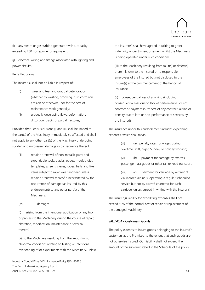

(i) any steam or gas turbine-generator with a capacity exceeding 250 horsepower or equivalent;

(j) electrical wiring and fittings associated with lighting and power circuits.

#### Perils Exclusions

The Insurer(s) shall not be liable in respect of:

- (i) wear and tear and gradual deterioration (whether by wasting, grooving, rust, corrosion, erosion or otherwise) nor for the cost of maintenance work generally;
- (ii) gradually developing flaws, deformation, distortion, cracks or partial fractures;

Provided that Perils Exclusions (i) and (ii) shall be limited to the part(s) of the Machinery immediately so affected and shall not apply to any other part(s) of the Machinery undergoing sudden and unforeseen damage in consequence thereof.

- (iii) repair or renewal of non-metallic parts and expendable tools, blades, edges, moulds, dies, templates, screens, sieves, ropes, belts and like items subject to rapid wear and tear unless repair or renewal thereof is necessitated by the occurrence of damage (as insured by this endorsement) to any other part(s) of the Machinery;
- (iv) damage:

(i) arising from the intentional application of any tool or process to the Machinery during the course of repair, alteration, modification, maintenance or overhaul thereof.

(ii) to the Machinery resulting from the imposition of abnormal conditions relating to testing or intentional overloading of or experiments with the Machinery, unless

Industrial Special Risks MKIV Insurance Policy ISR4-2021.8 The Barn Underwriting Agency Pty Ltd ABN 15 624 224 642 | AFSL 509709 43

the Insurer(s) shall have agreed in writing to grant indemnity under this endorsement whilst the Machinery is being operated under such conditions.

(iii) to the Machinery resulting from fault(s) or defect(s) therein known to the Insured or to responsible employees of the Insured but not disclosed to the Insurer(s) at the commencement of the Period of Insurance.

(v) consequential loss of any kind (including consequential loss due to lack of performance, loss of contract or payment in respect of any contractual fine or penalty due to late or non-performance of services by the Insured).

The insurance under this endorsement includes expediting expenses, which shall mean:

> (vi) (a) penalty rates for wages during overtime, shift, night, Sunday or holiday working;

(vii) (b) payment for carriage by express passenger, fast goods or other rail or road transport;

(viii) (c) payment for carriage by air freight via licensed airline(s) operating a regular scheduled service but not by aircraft chartered for such carriage, unless agreed in writing with the Insurer(s).

The Insurer(s) liability for expediting expenses shall not exceed 50% of the normal cost of repair or replacement of the damaged Machinery.

#### SALESXB4 - Customers' Goods

\_\_\_\_\_\_\_\_\_\_\_\_\_\_\_\_\_\_\_\_\_\_\_\_\_\_\_\_\_\_\_\_\_\_\_\_\_\_\_\_\_\_\_\_\_\_\_\_\_\_\_\_\_\_\_\_\_\_\_\_\_\_\_\_\_\_\_\_\_\_\_\_\_\_\_\_\_\_\_\_\_\_\_\_\_\_\_\_\_\_\_\_\_\_\_\_\_\_\_\_\_\_\_\_\_\_\_\_\_\_\_\_\_\_\_\_\_\_\_\_\_\_\_\_\_\_\_\_\_\_\_\_\_\_\_\_\_\_\_\_\_\_\_\_\_\_\_\_\_\_\_\_\_

The policy extends to insure goods belonging to the Insured's customers at the Premises, to the extent that such goods are not otherwise insured. Our liability shall not exceed the amount of the sub-limit stated in the Schedule of the policy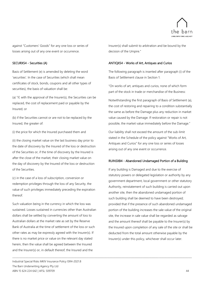

against "Customers' Goods" for any one loss or series of losses arising out of any one event or occurrence.

#### SECURXS4 - Securities (A)

Basis of Settlement (e) is amended by deleting the word 'securities'. In the case of Securities (which shall mean certificates of stock, bonds, coupons and all other types of securities), the basis of valuation shall be:

(a) "if, with the approval of the Insurer(s), the Securities can be replaced, the cost of replacement paid or payable by the Insured; or

(b) if the Securities cannot or are not to be replaced by the Insured, the greater of:

(i) the price for which the Insured purchased them and

(ii) the closing market value on the last business day prior to the date of discovery by the Insured of the loss or destruction of the Securities or, if the time of discovery by the Insured is after the close of the market, their closing market value on the day of discovery by the Insured of the loss or destruction of the Securities.

(c) in the case of a loss of subscription, conversion or redemption privileges through the loss of any Security, the value of such privileges immediately preceding the expiration thereof.

Such valuation being in the currency in which the loss was sustained. Losses sustained in currencies other than Australian dollars shall be settled by converting the amount of loss to Australian dollars at the market rate as set by the Reserve Bank of Australia at the time of settlement of the loss or such other rates as may be expressly agreed with the Insurer(s). If there is no market price or value on the relevant day stated herein, then the value shall be agreed between the Insured and the Insurer(s) or, in default thereof, the Insured and the

\_\_\_\_\_\_\_\_\_\_\_\_\_\_\_\_\_\_\_\_\_\_\_\_\_\_\_\_\_\_\_\_\_\_\_\_\_\_\_\_\_\_\_\_\_\_\_\_\_\_\_\_\_\_\_\_\_\_\_\_\_\_\_\_\_\_\_\_\_\_\_\_\_\_\_\_\_\_\_\_\_\_\_\_\_\_\_\_\_\_\_\_\_\_\_\_\_\_\_\_\_\_\_\_\_\_\_\_\_\_\_\_\_\_\_\_\_\_\_\_\_\_\_\_\_\_\_\_\_\_\_\_\_\_\_\_\_\_\_\_\_\_\_\_\_\_\_\_\_\_\_\_\_

Industrial Special Risks MKIV Insurance Policy ISR4-2021.8 The Barn Underwriting Agency Pty Ltd ABN 15 624 224 642 | AFSL 509709 44

Insurer(s) shall submit to arbitration and be bound by the decision of the Umpire."

#### ANTIQXS4 - Works of Art, Antiques and Curios

The following paragraph is inserted after paragraph (i) of the Basis of Settlement clause in Section 1:

"On works of art, antiques and curios, none of which form part of the stock in trade or merchandise of the Business:

Notwithstanding the first paragraph of Basis of Settlement (a), the cost of restoring and repairing to a condition substantially the same as before the Damage plus any reduction in market value caused by the Damage. If restoration or repair is not possible, the market value immediately before the Damage."

Our liability shall not exceed the amount of the sub-limit stated in the Schedule of the policy against "Works of Art, Antiques and Curios" for any one loss or series of losses arising out of any one event or occurrence.

#### RUINSXB4 - Abandoned Undamaged Portion of a Building

If any building is Damaged and due to the exercise of statutory powers or delegated legislation or authority by any government department, local government or other statutory Authority, reinstatement of such building is carried out upon another site, then the abandoned undamaged portion of such building shall be deemed to have been destroyed; provided that if the presence of such abandoned undamaged portion of the building increases the sale value of the original site, the increase in sale value shall be regarded as salvage and the amount thereof shall be payable to the Insurer(s) by the Insured upon completion of any sale of the site or shall be deducted from the total amount otherwise payable by the Insurer(s) under this policy, whichever shall occur later.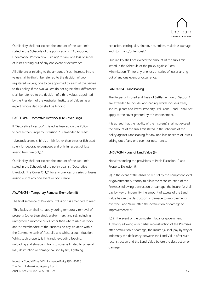

Our liability shall not exceed the amount of the sub-limit stated in the Schedule of the policy against "Abandoned Undamaged Portion of a Building" for any one loss or series of losses arising out of any one event or occurrence.

All differences relating to the amount of such increase in site value shall forthwith be referred to the decision of two registered valuers; one to be appointed by each of the parties to this policy. If the two valuers do not agree, their differences shall be referred to the decision of a third valuer, appointed by the President of the Australian Institute of Valuers as an expert, whose decision shall be binding.

#### CAGEFOP4 - Decorative Livestock (Fire Cover Only)

If 'Decorative Livestock' is listed as Insured on the Policy Schedule then Property Exclusion 7 is amended to read:

"Livestock, animals, birds or fish (other than birds or fish used solely for decorative purposes and only in respect of loss arising from fire only)."

Our liability shall not exceed the amount of the sub-limit stated in the Schedule of the policy against "Decorative Livestock (Fire Cover Only)" for any one loss or series of losses arising out of any one event or occurrence.

#### AWAYBXS4 - Temporary Removal Exemption (B)

The final sentence of Property Exclusion 1 is amended to read:

"This Exclusion shall not apply during temporary removal of property (other than stock and/or merchandise), including unregistered motor vehicles other than where used as stock and/or merchandise of the Business, to any situation within the Commonwealth of Australia and whilst at such situation. Whilst such property is in transit (excluding loading, unloading and storage in transit), cover is limited to physical loss, destruction or damage caused by fire, lightning,

Industrial Special Risks MKIV Insurance Policy ISR4-2021.8 The Barn Underwriting Agency Pty Ltd ABN 15 624 224 642 | AFSL 509709 45

explosion, earthquake, aircraft, riot, strikes, malicious damage and storm and/or tempest."

Our liability shall not exceed the amount of the sub-limit stated in the Schedule of the policy against "Loss Minimisation (B)" for any one loss or series of losses arising out of any one event or occurrence.

#### LANDAXB4 - Landscaping

The Property Insured and Basis of Settlement (a) of Section 1 are extended to include landscaping, which includes trees, shrubs, plants and lawns. Property Exclusions 7 and 8 shall not apply to the cover granted by this endorsement.

It is agreed that the liability of the Insurer(s) shall not exceed the amount of the sub-limit stated in the schedule of the policy against Landscaping for any one loss or series of losses arising out of any one event or occurrence.

#### LNDVPCB4 - Loss of Land Value (B)

\_\_\_\_\_\_\_\_\_\_\_\_\_\_\_\_\_\_\_\_\_\_\_\_\_\_\_\_\_\_\_\_\_\_\_\_\_\_\_\_\_\_\_\_\_\_\_\_\_\_\_\_\_\_\_\_\_\_\_\_\_\_\_\_\_\_\_\_\_\_\_\_\_\_\_\_\_\_\_\_\_\_\_\_\_\_\_\_\_\_\_\_\_\_\_\_\_\_\_\_\_\_\_\_\_\_\_\_\_\_\_\_\_\_\_\_\_\_\_\_\_\_\_\_\_\_\_\_\_\_\_\_\_\_\_\_\_\_\_\_\_\_\_\_\_\_\_\_\_\_\_\_\_

Notwithstanding the provisions of Perils Exclusion 10 and Property Exclusion 9:

(a) in the event of the absolute refusal by the competent local or government Authority to allow the reconstruction of the Premises following destruction or damage, the Insurer(s) shall pay by way of indemnity the amount of excess of the Land Value before the destruction or damage to improvements, over the Land Value after, the destruction or damage to improvements; or

(b) in the event of the competent local or government Authority allowing only partial reconstruction of the Premises after destruction or damage, the Insurer(s) shall pay by way of indemnity the deficiency between the Land Value after such reconstruction and the Land Value before the destruction or damage;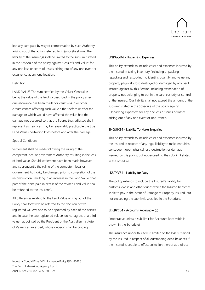

less any sum paid by way of compensation by such Authority arising out of the action referred to in (a) or (b) above. The liability of the Insurer(s) shall be limited to the sub-limit stated in the Schedule of the policy against 'Loss of Land Value' for any one loss or series of losses arising out of any one event or occurrence at any one location.

#### Definition

LAND VALUE The sum certified by the Valuer General as being the value of the land so described in the policy after due allowance has been made for variations in or other circumstances affecting such value either before or after the damage or which would have affected the value had the damage not occurred so that the figures thus adjusted shall represent as nearly as may be reasonably practicable the true Land Values pertaining both before and after the damage.

#### Special Conditions

Settlement shall be made following the ruling of the competent local or government Authority resulting in the loss of land value. Should settlement have been made however and subsequently the ruling of the competent local or government Authority be changed prior to completion of the reconstruction, resulting in an increase in the Land Value, that part of the claim paid in excess of the revised Land Value shall be refunded to the Insurer(s).

All differences relating to the Land Value arising out of the Policy shall forthwith be referred to the decision of two registered valuers; one to be appointed by each of the parties and in case the two registered valuers do not agree, of a third valuer, appointed by the President of the Australian Institute of Valuers as an expert, whose decision shall be binding.

#### UNPAKXB4 - Unpacking Expenses

This policy extends to include costs and expenses incurred by the Insured in taking inventory (including unpacking, repacking and restocking) to identify, quantify and value any property physically lost, destroyed or damaged by any peril insured against by this Section including examination of property not belonging to but in the care, custody or control of the Insured. Our liability shall not exceed the amount of the sub-limit stated in the Schedule of the policy against "Unpacking Expenses" for any one loss or series of losses arising out of any one event or occurrence.

#### ENQUIXB4 - Liability To Make Enquiries

This policy extends to include costs and expenses incurred by the Insured in respect of any legal liability to make enquiries consequent upon physical loss, destruction or damage insured by this policy, but not exceeding the sub-limit stated in the schedule.

#### LDUTYVB4 - Liability for Duty

The policy extends to include the Insured's liability for customs, excise and other duties which the Insured becomes liable to pay in the event of Damage to Property Insured, but not exceeding the sub-limit specified in the Schedule.

#### BDEBPCB4 - Accounts Receivable (B)

\_\_\_\_\_\_\_\_\_\_\_\_\_\_\_\_\_\_\_\_\_\_\_\_\_\_\_\_\_\_\_\_\_\_\_\_\_\_\_\_\_\_\_\_\_\_\_\_\_\_\_\_\_\_\_\_\_\_\_\_\_\_\_\_\_\_\_\_\_\_\_\_\_\_\_\_\_\_\_\_\_\_\_\_\_\_\_\_\_\_\_\_\_\_\_\_\_\_\_\_\_\_\_\_\_\_\_\_\_\_\_\_\_\_\_\_\_\_\_\_\_\_\_\_\_\_\_\_\_\_\_\_\_\_\_\_\_\_\_\_\_\_\_\_\_\_\_\_\_\_\_\_\_

(Inoperative unless a sub-limit for Accounts Receivable is shown in the Schedule)

The insurance under this item is limited to the loss sustained by the Insured in respect of all outstanding debit balances if the Insured is unable to effect collection thereof as a direct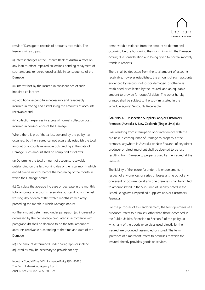

result of Damage to records of accounts receivable. The Insurers will also pay:

(i) interest charges at the Reserve Bank of Australia rates on any loan to offset impaired collections pending repayment of such amounts rendered uncollectible in consequence of the Damage;

(ii) interest lost by the Insured in consequence of such impaired collections;

(iii) additional expenditure necessarily and reasonably incurred in tracing and establishing the amounts of accounts receivable; and

(iv) collection expenses in excess of normal collection costs, incurred in consequence of the Damage.

Where there is proof that a loss covered by the policy has occurred, but the Insured cannot accurately establish the total amount of accounts receivable outstanding at the date of Damage, such amount shall be computed as follows:

(a) Determine the total amount of accounts receivable outstanding on the last working day of the fiscal month which ended twelve months before the beginning of the month in which the Damage occurs.

(b) Calculate the average increase or decrease in the monthly total amounts of accounts receivable outstanding on the last working day of each of the twelve months immediately preceding the month in which Damage occurs.

(c) The amount determined under paragraph (a), increased or decreased by the percentage calculated in accordance with paragraph (b) shall be deemed to be the total amount of accounts receivable outstanding at the time and date of the Damage.

(d) The amount determined under paragraph (c) shall be adjusted as may be necessary to provide for any

\_\_\_\_\_\_\_\_\_\_\_\_\_\_\_\_\_\_\_\_\_\_\_\_\_\_\_\_\_\_\_\_\_\_\_\_\_\_\_\_\_\_\_\_\_\_\_\_\_\_\_\_\_\_\_\_\_\_\_\_\_\_\_\_\_\_\_\_\_\_\_\_\_\_\_\_\_\_\_\_\_\_\_\_\_\_\_\_\_\_\_\_\_\_\_\_\_\_\_\_\_\_\_\_\_\_\_\_\_\_\_\_\_\_\_\_\_\_\_\_\_\_\_\_\_\_\_\_\_\_\_\_\_\_\_\_\_\_\_\_\_\_\_\_\_\_\_\_\_\_\_\_\_

demonstrable variance from the amount so determined occurring before but during the month in which the Damage occurs; due consideration also being given to normal monthly trends in receipts.

There shall be deducted from the total amount of accounts receivable, however established, the amount of such accounts evidenced by records not lost or damaged, or otherwise established or collected by the Insured, and an equitable amount to provide for doubtful debts. The cover hereby granted shall be subject to the sub-limit stated in the Schedule against 'Accounts Receivable'.

## SANZBPC4 - Unspecified Suppliers' and/or Customers' Premises (Australia & New Zealand) (Single Limit) (B)

Loss resulting from interruption of or interference with the business in consequence of Damage to property at the premises, anywhere in Australia or New Zealand, of any direct producer or direct merchant shall be deemed to be loss resulting from Damage to property used by the Insured at the Premises.

The liability of the Insurer(s) under this endorsement, in respect of any one loss or series of losses arising out of any one event or occurrence at any one premises, shall be limited to amount stated in the Sub-Limit of Liability noted in the Schedule against Unspecified Suppliers and/or Customers Premises.

For the purposes of this endorsement, the term 'premises of a producer' refers to premises, other than those described in the Public Utilities Extension to Section 2 of the policy, at which any of the goods or services used directly by the Insured are produced, assembled or stored. The term 'premises of a merchant' refers to premises to which the Insured directly provides goods or services.